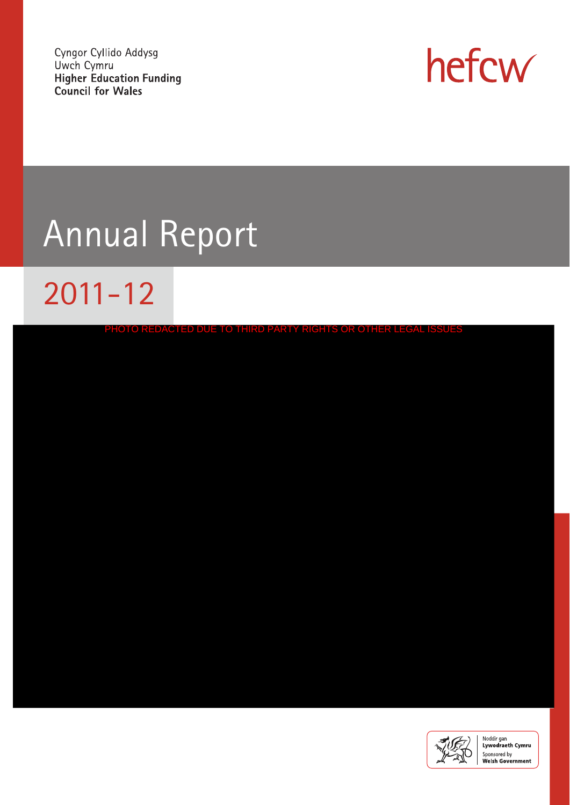Cyngor Cyllido Addysg Uwch Cymru **Higher Education Funding Council for Wales** 



# Annual Report

# 2011-12

| PHOTO REDACTED DUE TO THIRD PARTY RIGHTS OR OTHER LEGAL ISSUES |  |
|----------------------------------------------------------------|--|
|                                                                |  |
|                                                                |  |
|                                                                |  |
|                                                                |  |
|                                                                |  |
|                                                                |  |
|                                                                |  |
|                                                                |  |
|                                                                |  |
|                                                                |  |
|                                                                |  |
|                                                                |  |
|                                                                |  |
|                                                                |  |
|                                                                |  |

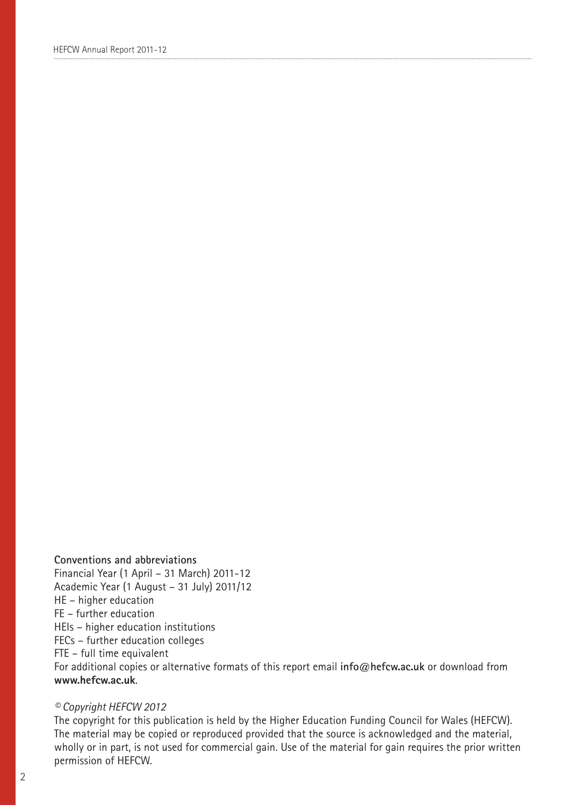#### **Conventions and abbreviations**

Financial Year (1 April – 31 March) 2011-12 Academic Year (1 August – 31 July) 2011/12 HE – higher education FE – further education HEIs – higher education institutions FECs – further education colleges FTE – full time equivalent For additional copies or alternative formats of this report email **info@hefcw.ac.uk** or download from **www.hefcw.ac.uk**.

#### *© Copyright HEFCW 2012*

The copyright for this publication is held by the Higher Education Funding Council for Wales (HEFCW). The material may be copied or reproduced provided that the source is acknowledged and the material, wholly or in part, is not used for commercial gain. Use of the material for gain requires the prior written permission of HEFCW.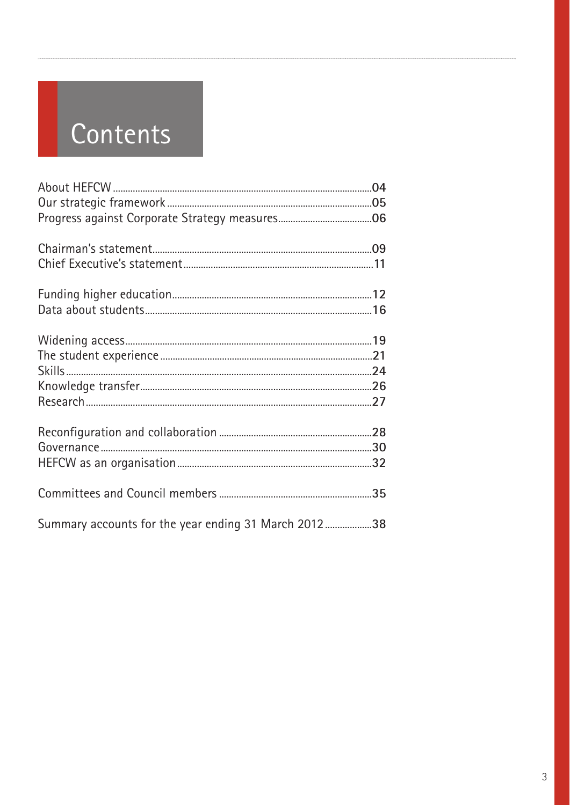# Contents

| Summary accounts for the year ending 31 March 201238 |  |
|------------------------------------------------------|--|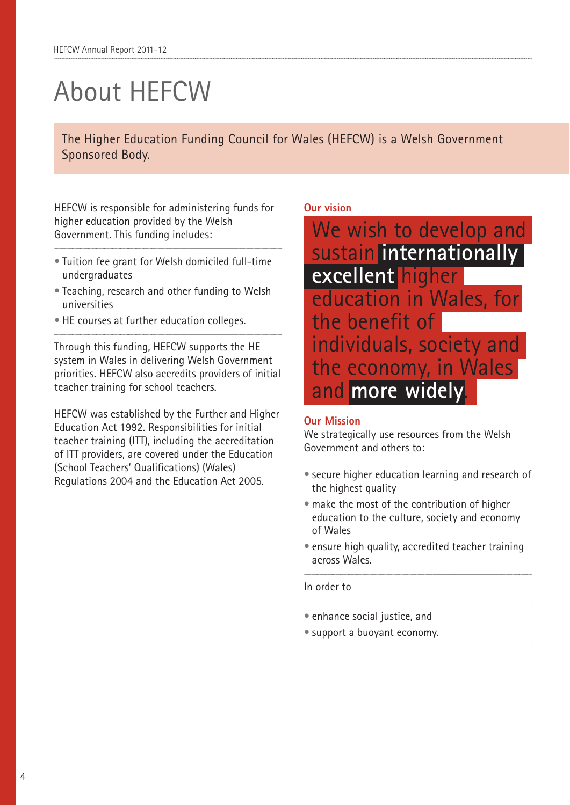## About HEFCW

The Higher Education Funding Council for Wales (HEFCW) is a Welsh Government Sponsored Body.

HEFCW is responsible for administering funds for higher education provided by the Welsh Government. This funding includes:

- Tuition fee grant for Welsh domiciled full-time undergraduates
- Teaching, research and other funding to Welsh universities
- HE courses at further education colleges.

Through this funding, HEFCW supports the HE system in Wales in delivering Welsh Government priorities. HEFCW also accredits providers of initial teacher training for school teachers.

HEFCW was established by the Further and Higher Education Act 1992. Responsibilities for initial teacher training (ITT), including the accreditation of ITT providers, are covered under the Education (School Teachers' Qualifications) (Wales) Regulations 2004 and the Education Act 2005.

### **Our vision**

We wish to develop and sustain **internationally excellent** higher education in Wales, for the benefit of individuals, society and the economy, in Wales and **more widely**.

#### **Our Mission**

We strategically use resources from the Welsh Government and others to:

- secure higher education learning and research of the highest quality
- make the most of the contribution of higher education to the culture, society and economy of Wales
- ensure high quality, accredited teacher training across Wales.

#### In order to

- enhance social justice, and
- support a buoyant economy.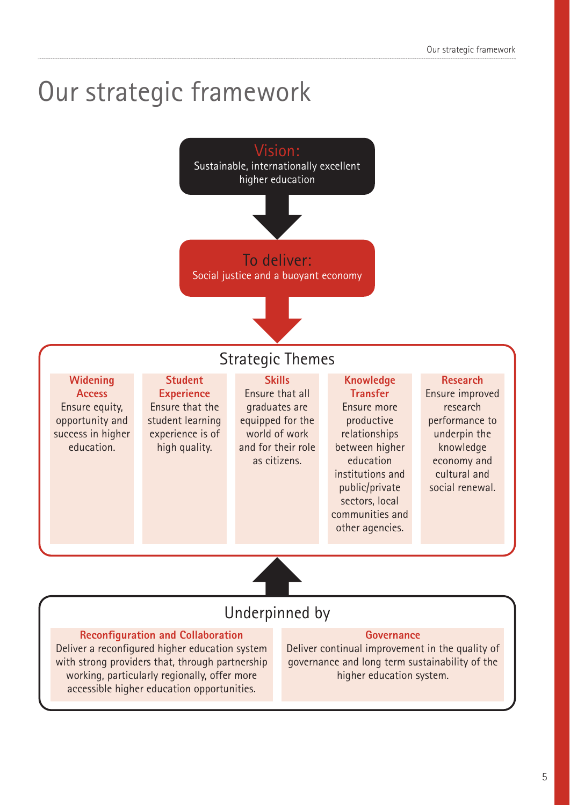## Our strategic framework



### Underpinned by

#### **Reconfiguration and Collaboration**

Deliver a reconfigured higher education system with strong providers that, through partnership working, particularly regionally, offer more accessible higher education opportunities.

#### **Governance**

Deliver continual improvement in the quality of governance and long term sustainability of the higher education system.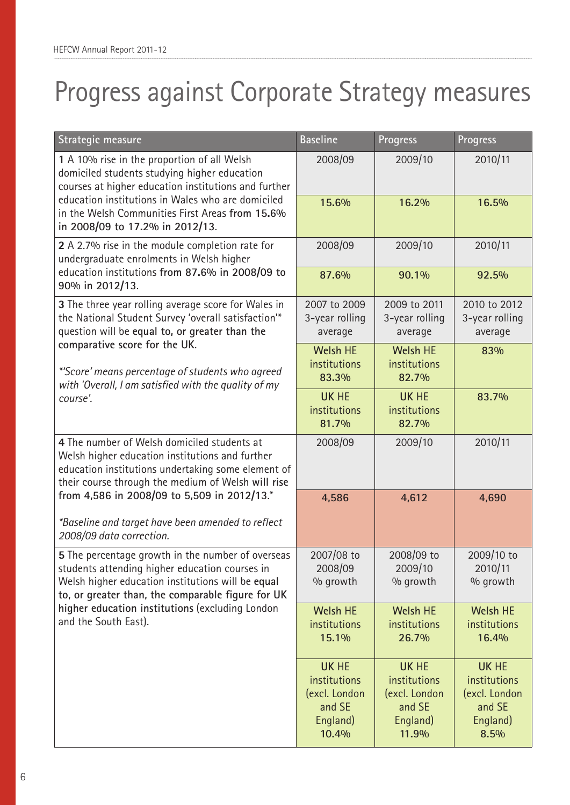## Progress against Corporate Strategy measures

| Strategic measure                                                                                                                                                                                                                                                                        | <b>Baseline</b>                                                              | <b>Progress</b>                                                              | <b>Progress</b>                                                             |
|------------------------------------------------------------------------------------------------------------------------------------------------------------------------------------------------------------------------------------------------------------------------------------------|------------------------------------------------------------------------------|------------------------------------------------------------------------------|-----------------------------------------------------------------------------|
| 1 A 10% rise in the proportion of all Welsh<br>domiciled students studying higher education<br>courses at higher education institutions and further                                                                                                                                      | 2008/09                                                                      | 2009/10                                                                      | 2010/11                                                                     |
| education institutions in Wales who are domiciled<br>in the Welsh Communities First Areas from 15.6%<br>in 2008/09 to 17.2% in 2012/13.                                                                                                                                                  | 15.6%                                                                        | 16.2%                                                                        | 16.5%                                                                       |
| 2 A 2.7% rise in the module completion rate for<br>undergraduate enrolments in Welsh higher                                                                                                                                                                                              | 2008/09                                                                      | 2009/10                                                                      | 2010/11                                                                     |
| education institutions from 87.6% in 2008/09 to<br>90% in 2012/13.                                                                                                                                                                                                                       | 87.6%                                                                        | 90.1%                                                                        | 92.5%                                                                       |
| 3 The three year rolling average score for Wales in<br>the National Student Survey 'overall satisfaction'*<br>question will be equal to, or greater than the                                                                                                                             | 2007 to 2009<br>3-year rolling<br>average                                    | 2009 to 2011<br>3-year rolling<br>average                                    | 2010 to 2012<br>3-year rolling<br>average                                   |
| comparative score for the UK.<br>*'Score' means percentage of students who agreed<br>with 'Overall, I am satisfied with the quality of my                                                                                                                                                | <b>Welsh HE</b><br>institutions<br>83.3%                                     | <b>Welsh HE</b><br>institutions<br>82.7%                                     | 83%                                                                         |
| course'.                                                                                                                                                                                                                                                                                 | <b>UK HE</b><br>institutions<br>81.7%                                        | <b>UK HE</b><br>institutions<br>82.7%                                        | 83.7%                                                                       |
| 4 The number of Welsh domiciled students at<br>Welsh higher education institutions and further<br>education institutions undertaking some element of<br>their course through the medium of Welsh will rise                                                                               | 2008/09                                                                      | 2009/10                                                                      | 2010/11                                                                     |
| from 4,586 in 2008/09 to 5,509 in 2012/13.*<br>*Baseline and target have been amended to reflect<br>2008/09 data correction.                                                                                                                                                             | 4,586                                                                        | 4,612                                                                        | 4,690                                                                       |
| 5 The percentage growth in the number of overseas<br>students attending higher education courses in<br>Welsh higher education institutions will be equal<br>to, or greater than, the comparable figure for UK<br>higher education institutions (excluding London<br>and the South East). | 2007/08 to<br>2008/09<br>% growth                                            | 2008/09 to<br>2009/10<br>% growth                                            | $2009/10$ to<br>2010/11<br>% growth                                         |
|                                                                                                                                                                                                                                                                                          | <b>Welsh HE</b><br>institutions<br>15.1%                                     | <b>Welsh HE</b><br>institutions<br>26.7%                                     | <b>Welsh HE</b><br>institutions<br>16.4%                                    |
|                                                                                                                                                                                                                                                                                          | <b>UK HE</b><br>institutions<br>(excl. London<br>and SE<br>England)<br>10.4% | <b>UK HE</b><br>institutions<br>(excl. London<br>and SE<br>England)<br>11.9% | <b>UK HE</b><br>institutions<br>(excl. London<br>and SE<br>England)<br>8.5% |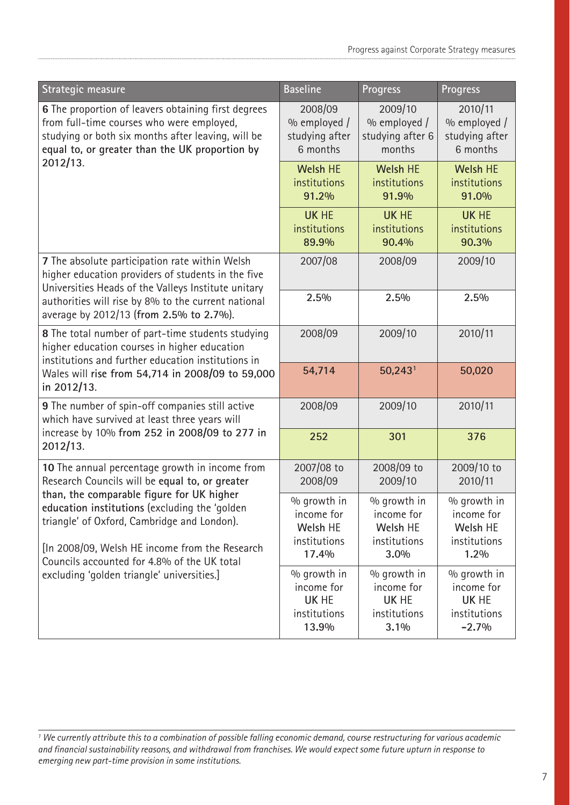| Strategic measure                                                                                                                                                                                                                          | <b>Baseline</b>                                                | <b>Progress</b>                                                   | Progress                                                      |
|--------------------------------------------------------------------------------------------------------------------------------------------------------------------------------------------------------------------------------------------|----------------------------------------------------------------|-------------------------------------------------------------------|---------------------------------------------------------------|
| 6 The proportion of leavers obtaining first degrees<br>from full-time courses who were employed,<br>studying or both six months after leaving, will be<br>equal to, or greater than the UK proportion by                                   | 2008/09<br>$\%$ employed /<br>studying after<br>6 months       | 2009/10<br>% employed /<br>studying after 6<br>months             | 2010/11<br>% employed /<br>studying after<br>6 months         |
| 2012/13.                                                                                                                                                                                                                                   | <b>Welsh HE</b><br>institutions<br>91.2%                       | <b>Welsh HE</b><br>institutions<br>91.9%                          | <b>Welsh HE</b><br>institutions<br>91.0%                      |
|                                                                                                                                                                                                                                            | <b>UK HE</b><br>institutions<br>89.9%                          | <b>UK HE</b><br>institutions<br>90.4%                             | <b>UK HE</b><br>institutions<br>90.3%                         |
| 7 The absolute participation rate within Welsh<br>higher education providers of students in the five<br>Universities Heads of the Valleys Institute unitary                                                                                | 2007/08                                                        | 2008/09                                                           | 2009/10                                                       |
| authorities will rise by 8% to the current national<br>average by 2012/13 (from 2.5% to 2.7%).                                                                                                                                             | 2.5%                                                           | 2.5%                                                              | 2.5%                                                          |
| 8 The total number of part-time students studying<br>higher education courses in higher education<br>institutions and further education institutions in                                                                                    | 2008/09                                                        | 2009/10                                                           | 2010/11                                                       |
| Wales will rise from 54,714 in 2008/09 to 59,000<br>in 2012/13.                                                                                                                                                                            | 54,714                                                         | $50,243$ <sup>1</sup>                                             | 50,020                                                        |
| 9 The number of spin-off companies still active<br>which have survived at least three years will                                                                                                                                           | 2008/09                                                        | 2009/10                                                           | 2010/11                                                       |
| increase by 10% from 252 in 2008/09 to 277 in<br>2012/13.                                                                                                                                                                                  | 252                                                            | 301                                                               | 376                                                           |
| 10 The annual percentage growth in income from<br>Research Councils will be equal to, or greater                                                                                                                                           | 2007/08 to<br>2008/09                                          | 2008/09 to<br>2009/10                                             | 2009/10 to<br>2010/11                                         |
| than, the comparable figure for UK higher<br>education institutions (excluding the 'golden<br>triangle' of Oxford, Cambridge and London).<br>[In 2008/09, Welsh HE income from the Research<br>Councils accounted for 4.8% of the UK total | % growth in<br>income for<br>Welsh HE<br>institutions<br>17.4% | % growth in<br>income for<br>Welsh HE<br>institutions<br>3.0%     | % growth in<br>income for<br>Welsh HE<br>institutions<br>1.2% |
| excluding 'golden triangle' universities.]                                                                                                                                                                                                 | % growth in<br>income for<br>UK HE<br>institutions<br>13.9%    | % growth in<br>income for<br><b>UK HE</b><br>institutions<br>3.1% | % growth in<br>income for<br>UK HE<br>institutions<br>$-2.7%$ |

*<sup>1</sup> We currently attribute this to a combination of possible falling economic demand, course restructuring for various academic and financial sustainability reasons, and withdrawal from franchises. We would expect some future upturn in response to emerging new part-time provision in some institutions.*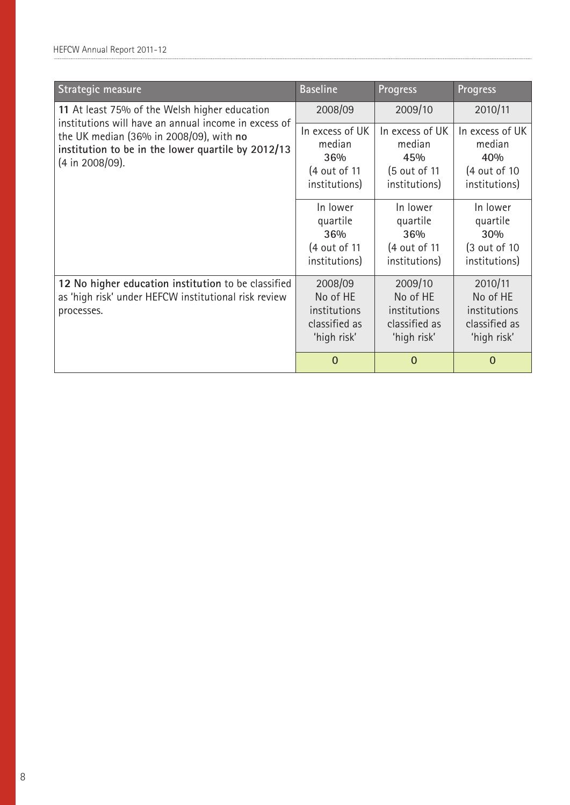| Strategic measure                                                                                                         | <b>Baseline</b>                                                                                                                     | <b>Progress</b>                                                                                                                    | Progress                                                                                                                                      |
|---------------------------------------------------------------------------------------------------------------------------|-------------------------------------------------------------------------------------------------------------------------------------|------------------------------------------------------------------------------------------------------------------------------------|-----------------------------------------------------------------------------------------------------------------------------------------------|
| 11 At least 75% of the Welsh higher education<br>institutions will have an annual income in excess of                     | 2008/09                                                                                                                             | 2009/10                                                                                                                            | 2010/11                                                                                                                                       |
| the UK median (36% in 2008/09), with no<br>institution to be in the lower quartile by 2012/13<br>(4 in 2008/09).          | In excess of UK<br>median<br>36%<br>(4 out of 11)<br>institutions)<br>In lower<br>quartile<br>36%<br>(4 out of 11)<br>institutions) | In excess of UK<br>median<br>45%<br>(5 out of 11<br>institutions)<br>In lower<br>quartile<br>36%<br>(4 out of 11)<br>institutions) | In excess of UK<br>median<br>40%<br>$(4 \text{ out of } 10)$<br>institutions)<br>In lower<br>quartile<br>30%<br>(3 out of 10<br>institutions) |
| 12 No higher education institution to be classified<br>as 'high risk' under HEFCW institutional risk review<br>processes. | 2008/09<br>No of HE<br>institutions<br>classified as<br>'high risk'                                                                 | 2009/10<br>No of HE<br>institutions<br>classified as<br>'high risk'                                                                | 2010/11<br>No of HE<br>institutions<br>classified as<br>'high risk'                                                                           |
|                                                                                                                           | $\Omega$                                                                                                                            | $\mathbf 0$                                                                                                                        | $\mathbf 0$                                                                                                                                   |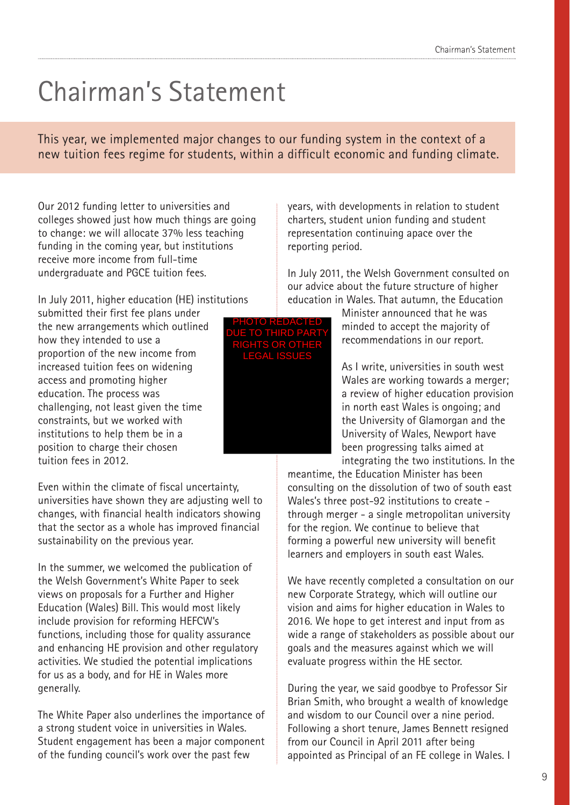### Chairman's Statement

This year, we implemented major changes to our funding system in the context of a new tuition fees regime for students, within a difficult economic and funding climate.

Our 2012 funding letter to universities and colleges showed just how much things are going to change: we will allocate 37% less teaching funding in the coming year, but institutions receive more income from full-time undergraduate and PGCE tuition fees.

In July 2011, higher education (HE) institutions

submitted their first fee plans under the new arrangements which outlined how they intended to use a proportion of the new income from increased tuition fees on widening access and promoting higher education. The process was challenging, not least given the time constraints, but we worked with institutions to help them be in a position to charge their chosen tuition fees in 2012.

Even within the climate of fiscal uncertainty, universities have shown they are adjusting well to changes, with financial health indicators showing that the sector as a whole has improved financial sustainability on the previous year.

In the summer, we welcomed the publication of the Welsh Government's White Paper to seek views on proposals for a Further and Higher Education (Wales) Bill. This would most likely include provision for reforming HEFCW's functions, including those for quality assurance and enhancing HE provision and other regulatory activities. We studied the potential implications for us as a body, and for HE in Wales more generally.

The White Paper also underlines the importance of a strong student voice in universities in Wales. Student engagement has been a major component of the funding council's work over the past few

years, with developments in relation to student charters, student union funding and student representation continuing apace over the reporting period.

In July 2011, the Welsh Government consulted on our advice about the future structure of higher education in Wales. That autumn, the Education

> Minister announced that he was minded to accept the majority of recommendations in our report.

As I write, universities in south west Wales are working towards a merger; a review of higher education provision in north east Wales is ongoing; and the University of Glamorgan and the University of Wales, Newport have been progressing talks aimed at integrating the two institutions. In the

meantime, the Education Minister has been consulting on the dissolution of two of south east Wales's three post-92 institutions to create through merger - a single metropolitan university for the region. We continue to believe that forming a powerful new university will benefit learners and employers in south east Wales.

We have recently completed a consultation on our new Corporate Strategy, which will outline our vision and aims for higher education in Wales to 2016. We hope to get interest and input from as wide a range of stakeholders as possible about our goals and the measures against which we will evaluate progress within the HE sector.

During the year, we said goodbye to Professor Sir Brian Smith, who brought a wealth of knowledge and wisdom to our Council over a nine period. Following a short tenure, James Bennett resigned from our Council in April 2011 after being appointed as Principal of an FE college in Wales. I

PHOTO REDACTED DUE TO THIRD PARTY RIGHTS OR OTHER LEGAL ISSUES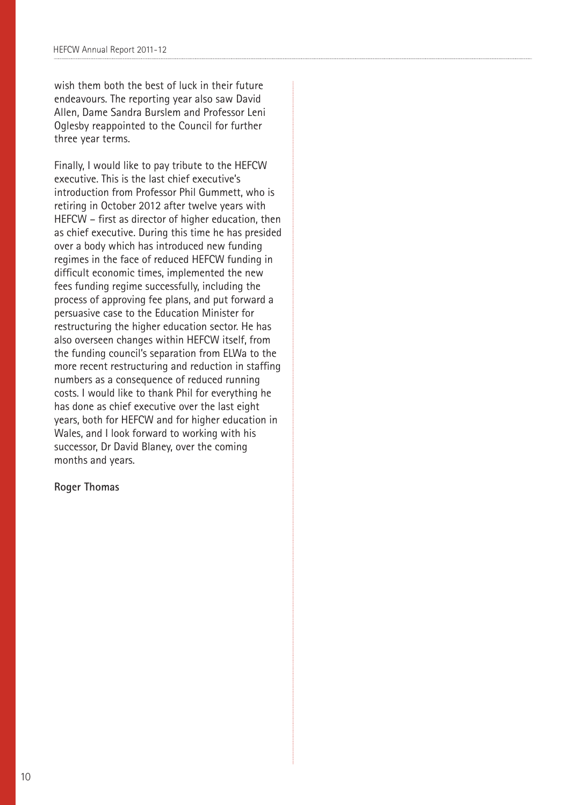wish them both the best of luck in their future endeavours. The reporting year also saw David Allen, Dame Sandra Burslem and Professor Leni Oglesby reappointed to the Council for further three year terms.

Finally, I would like to pay tribute to the HEFCW executive. This is the last chief executive's introduction from Professor Phil Gummett, who is retiring in October 2012 after twelve years with HEFCW – first as director of higher education, then as chief executive. During this time he has presided over a body which has introduced new funding regimes in the face of reduced HEFCW funding in difficult economic times, implemented the new fees funding regime successfully, including the process of approving fee plans, and put forward a persuasive case to the Education Minister for restructuring the higher education sector. He has also overseen changes within HEFCW itself, from the funding council's separation from ELWa to the more recent restructuring and reduction in staffing numbers as a consequence of reduced running costs. I would like to thank Phil for everything he has done as chief executive over the last eight years, both for HEFCW and for higher education in Wales, and I look forward to working with his successor, Dr David Blaney, over the coming months and years.

#### **Roger Thomas**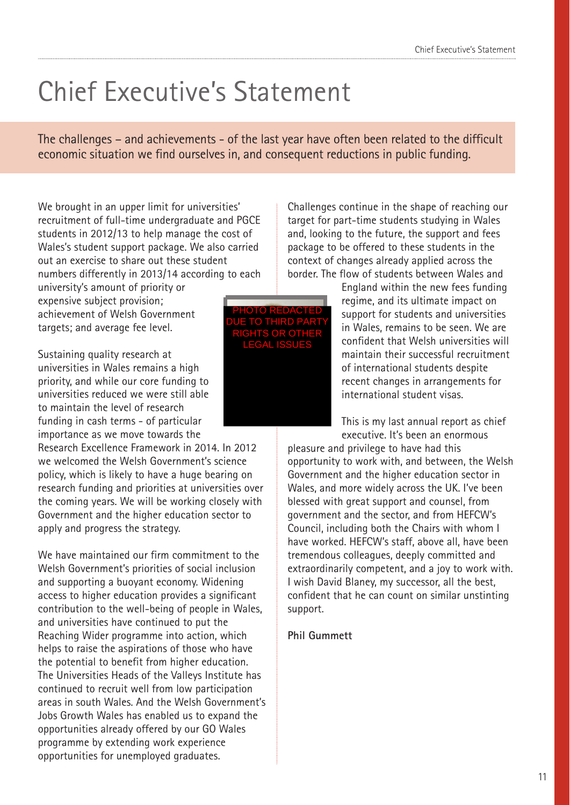## Chief Executive's Statement

The challenges – and achievements - of the last year have often been related to the difficult economic situation we find ourselves in, and consequent reductions in public funding.

We brought in an upper limit for universities' recruitment of full-time undergraduate and PGCE students in 2012/13 to help manage the cost of Wales's student support package. We also carried out an exercise to share out these student numbers differently in 2013/14 according to each

university's amount of priority or expensive subject provision; achievement of Welsh Government targets; and average fee level.

Sustaining quality research at universities in Wales remains a high priority, and while our core funding to universities reduced we were still able to maintain the level of research funding in cash terms - of particular importance as we move towards the

Research Excellence Framework in 2014. In 2012 we welcomed the Welsh Government's science policy, which is likely to have a huge bearing on research funding and priorities at universities over the coming years. We will be working closely with Government and the higher education sector to apply and progress the strategy.

We have maintained our firm commitment to the Welsh Government's priorities of social inclusion and supporting a buoyant economy. Widening access to higher education provides a significant contribution to the well-being of people in Wales, and universities have continued to put the Reaching Wider programme into action, which helps to raise the aspirations of those who have the potential to benefit from higher education. The Universities Heads of the Valleys Institute has continued to recruit well from low participation areas in south Wales. And the Welsh Government's Jobs Growth Wales has enabled us to expand the opportunities already offered by our GO Wales programme by extending work experience opportunities for unemployed graduates.



Challenges continue in the shape of reaching our target for part-time students studying in Wales and, looking to the future, the support and fees package to be offered to these students in the context of changes already applied across the border. The flow of students between Wales and

> England within the new fees funding regime, and its ultimate impact on support for students and universities in Wales, remains to be seen. We are confident that Welsh universities will maintain their successful recruitment of international students despite recent changes in arrangements for international student visas.

This is my last annual report as chief executive. It's been an enormous

pleasure and privilege to have had this opportunity to work with, and between, the Welsh Government and the higher education sector in Wales, and more widely across the UK. I've been blessed with great support and counsel, from government and the sector, and from HEFCW's Council, including both the Chairs with whom I have worked. HEFCW's staff, above all, have been tremendous colleagues, deeply committed and extraordinarily competent, and a joy to work with. I wish David Blaney, my successor, all the best, confident that he can count on similar unstinting support.

### **Phil Gummett**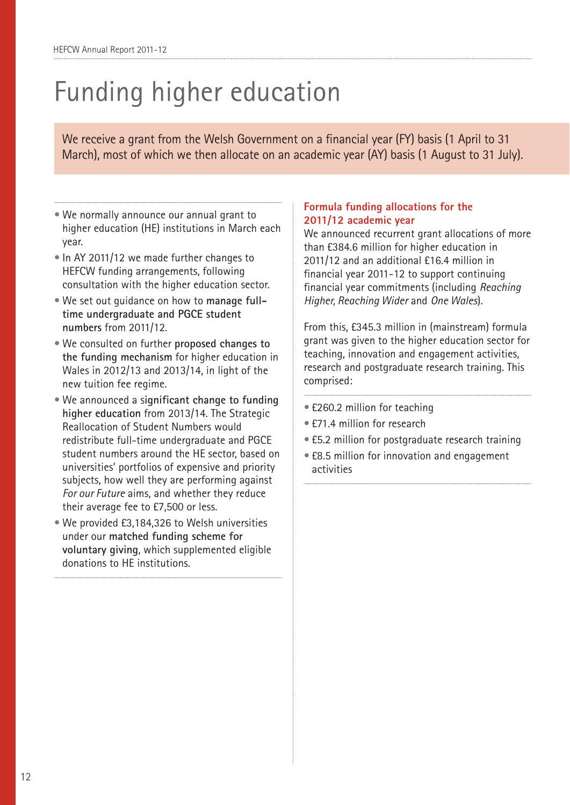## Funding higher education

We receive a grant from the Welsh Government on a financial year (FY) basis (1 April to 31 March), most of which we then allocate on an academic year (AY) basis (1 August to 31 July).

- We normally announce our annual grant to higher education (HE) institutions in March each year.
- In AY 2011/12 we made further changes to HEFCW funding arrangements, following consultation with the higher education sector.
- We set out guidance on how to **manage fulltime undergraduate and PGCE student numbers** from 2011/12.
- We consulted on further **proposed changes to the funding mechanism** for higher education in Wales in 2012/13 and 2013/14, in light of the new tuition fee regime.
- We announced a s**ignificant change to funding higher education** from 2013/14. The Strategic Reallocation of Student Numbers would redistribute full-time undergraduate and PGCE student numbers around the HE sector, based on universities' portfolios of expensive and priority subjects, how well they are performing against *For our Future* aims, and whether they reduce their average fee to £7,500 or less.
- We provided £3,184,326 to Welsh universities under our **matched funding scheme for voluntary giving**, which supplemented eligible donations to HE institutions.

### **Formula funding allocations for the 2011/12 academic year**

We announced recurrent grant allocations of more than £384.6 million for higher education in 2011/12 and an additional £16.4 million in financial year 2011-12 to support continuing financial year commitments (including *Reaching Higher, Reaching Wider* and *One Wales*).

From this, £345.3 million in (mainstream) formula grant was given to the higher education sector for teaching, innovation and engagement activities, research and postgraduate research training. This comprised:

- £260.2 million for teaching
- £71.4 million for research
- £5.2 million for postgraduate research training
- £8.5 million for innovation and engagement activities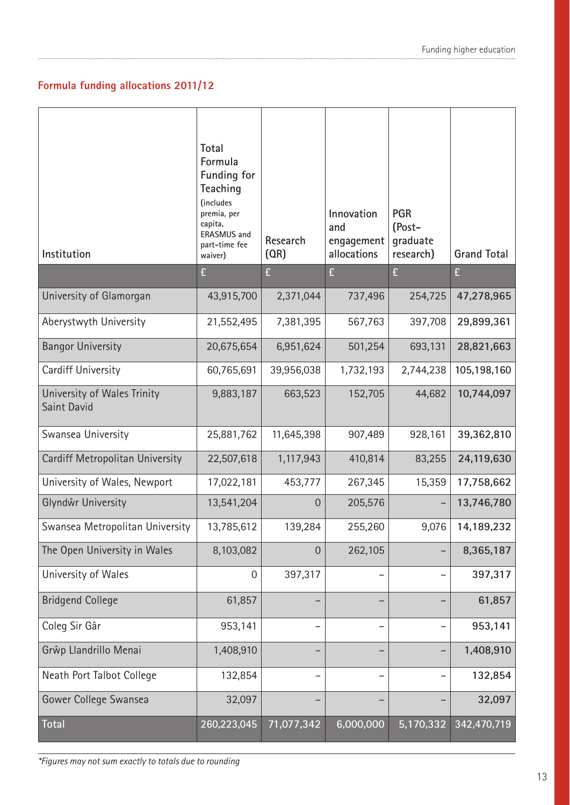### **Formula funding allocations 2011/12**

| Institution                                | Total<br>Formula<br><b>Funding for</b><br>Teaching<br>(includes<br>premia, per<br>capita,<br><b>ERASMUS</b> and<br>part-time fee<br>waiver) | Research<br>(OR) | Innovation<br>and<br>engagement<br>allocations | <b>PGR</b><br>(Post-<br>graduate<br>research) | <b>Grand Total</b> |
|--------------------------------------------|---------------------------------------------------------------------------------------------------------------------------------------------|------------------|------------------------------------------------|-----------------------------------------------|--------------------|
|                                            | £                                                                                                                                           | £                | £                                              | £                                             | £                  |
| University of Glamorgan                    | 43,915,700                                                                                                                                  | 2,371,044        | 737,496                                        | 254,725                                       | 47,278,965         |
| Aberystwyth University                     | 21,552,495                                                                                                                                  | 7,381,395        | 567,763                                        | 397,708                                       | 29,899,361         |
| <b>Bangor University</b>                   | 20,675,654                                                                                                                                  | 6,951,624        | 501,254                                        | 693,131                                       | 28,821,663         |
| Cardiff University                         | 60,765,691                                                                                                                                  | 39,956,038       | 1,732,193                                      | 2,744,238                                     | 105,198,160        |
| University of Wales Trinity<br>Saint David | 9,883,187                                                                                                                                   | 663,523          | 152,705                                        | 44,682                                        | 10,744,097         |
| Swansea University                         | 25,881,762                                                                                                                                  | 11,645,398       | 907,489                                        | 928,161                                       | 39,362,810         |
| Cardiff Metropolitan University            | 22,507,618                                                                                                                                  | 1,117,943        | 410,814                                        | 83,255                                        | 24,119,630         |
| University of Wales, Newport               | 17,022,181                                                                                                                                  | 453,777          | 267,345                                        | 15,359                                        | 17,758,662         |
| Glyndŵr University                         | 13,541,204                                                                                                                                  | $\overline{0}$   | 205,576                                        |                                               | 13,746,780         |
| Swansea Metropolitan University            | 13,785,612                                                                                                                                  | 139,284          | 255,260                                        | 9,076                                         | 14,189,232         |
| The Open University in Wales               | 8,103,082                                                                                                                                   | $\overline{0}$   | 262,105                                        |                                               | 8,365,187          |
| University of Wales                        | $\mathbf 0$                                                                                                                                 | 397,317          |                                                |                                               | 397,317            |
| <b>Bridgend College</b>                    | 61,857                                                                                                                                      |                  |                                                |                                               | 61,857             |
| Coleg Sir Gâr                              | 953,141                                                                                                                                     |                  |                                                |                                               | 953,141            |
| Grŵp Llandrillo Menai                      | 1,408,910                                                                                                                                   |                  |                                                |                                               | 1,408,910          |
| Neath Port Talbot College                  | 132,854                                                                                                                                     |                  |                                                |                                               | 132,854            |
| Gower College Swansea                      | 32,097                                                                                                                                      |                  |                                                |                                               | 32,097             |
| Total                                      | 260,223,045                                                                                                                                 | 71,077,342       | 6,000,000                                      | 5,170,332                                     | 342,470,719        |

*\*Figures may not sum exactly to totals due to rounding*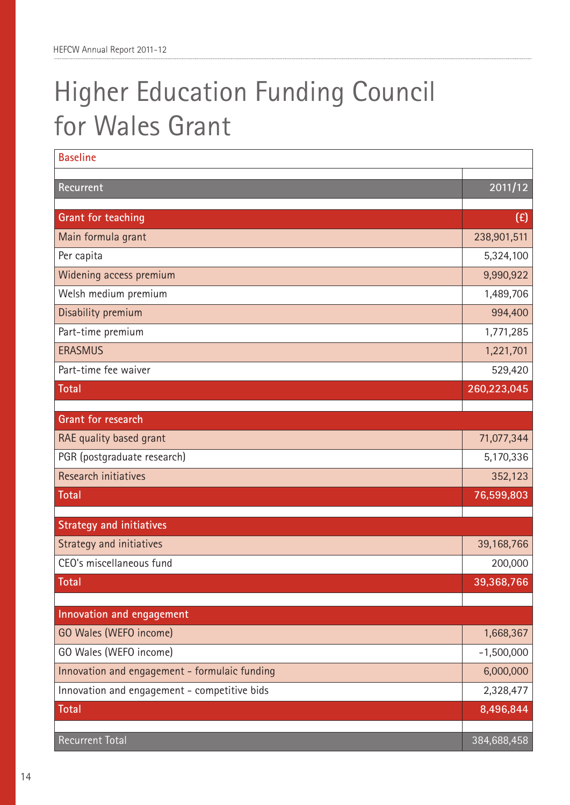## Higher Education Funding Council for Wales Grant

| <b>Baseline</b>                               |              |
|-----------------------------------------------|--------------|
| Recurrent                                     | 2011/12      |
|                                               |              |
| Grant for teaching                            | (E)          |
| Main formula grant                            | 238,901,511  |
| Per capita                                    | 5,324,100    |
| Widening access premium                       | 9,990,922    |
| Welsh medium premium                          | 1,489,706    |
| Disability premium                            | 994,400      |
| Part-time premium                             | 1,771,285    |
| <b>ERASMUS</b>                                | 1,221,701    |
| Part-time fee waiver                          | 529,420      |
| <b>Total</b>                                  | 260,223,045  |
| Grant for research                            |              |
| RAE quality based grant                       | 71,077,344   |
| PGR (postgraduate research)                   | 5,170,336    |
| <b>Research initiatives</b>                   | 352,123      |
| <b>Total</b>                                  | 76,599,803   |
|                                               |              |
| <b>Strategy and initiatives</b>               |              |
| Strategy and initiatives                      | 39,168,766   |
| CEO's miscellaneous fund                      | 200,000      |
| Total                                         | 39,368,766   |
|                                               |              |
| Innovation and engagement                     |              |
| GO Wales (WEFO income)                        | 1,668,367    |
| GO Wales (WEFO income)                        | $-1,500,000$ |
| Innovation and engagement - formulaic funding | 6,000,000    |
| Innovation and engagement - competitive bids  | 2,328,477    |
| <b>Total</b>                                  | 8,496,844    |
| Recurrent Total                               | 384,688,458  |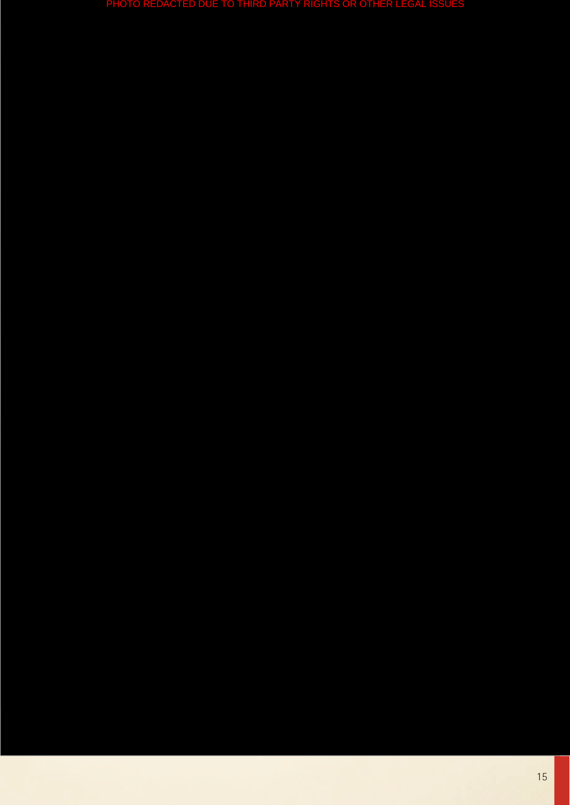PHOTO REDACTED DUE TO THIRD PARTY RIGHTS OR OTHER LEGAL ISSU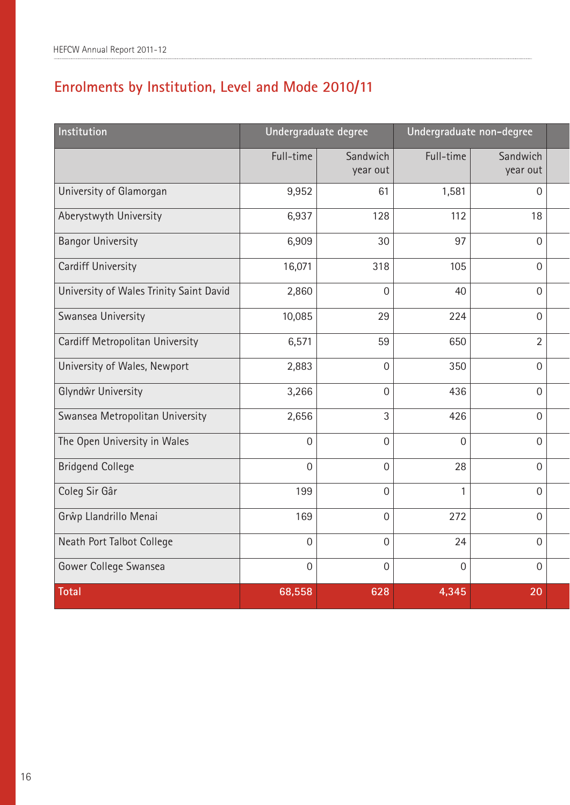### **Enrolments by Institution, Level and Mode 2010/11**

| Institution                             | Undergraduate degree |                      | Undergraduate non-degree |                      |  |
|-----------------------------------------|----------------------|----------------------|--------------------------|----------------------|--|
|                                         | Full-time            | Sandwich<br>year out | Full-time                | Sandwich<br>year out |  |
| University of Glamorgan                 | 9,952                | 61                   | 1,581                    | $\overline{0}$       |  |
| Aberystwyth University                  | 6,937                | 128                  | 112                      | 18                   |  |
| <b>Bangor University</b>                | 6,909                | 30                   | 97                       | $\overline{0}$       |  |
| <b>Cardiff University</b>               | 16,071               | 318                  | 105                      | $\mathbf 0$          |  |
| University of Wales Trinity Saint David | 2,860                | $\overline{0}$       | 40                       | $\overline{0}$       |  |
| Swansea University                      | 10,085               | 29                   | 224                      | $\mathbf 0$          |  |
| Cardiff Metropolitan University         | 6,571                | 59                   | 650                      | $\overline{2}$       |  |
| University of Wales, Newport            | 2,883                | $\mathbf 0$          | 350                      | $\overline{0}$       |  |
| Glyndŵr University                      | 3,266                | $\overline{0}$       | 436                      | $\mathbf 0$          |  |
| Swansea Metropolitan University         | 2,656                | 3                    | 426                      | $\overline{0}$       |  |
| The Open University in Wales            | $\overline{0}$       | $\overline{0}$       | $\mathbf 0$              | $\mathbf 0$          |  |
| <b>Bridgend College</b>                 | $\overline{0}$       | $\overline{0}$       | 28                       | $\overline{0}$       |  |
| Coleg Sir Gâr                           | 199                  | $\overline{0}$       | 1                        | $\overline{0}$       |  |
| Grŵp Llandrillo Menai                   | 169                  | $\overline{0}$       | 272                      | $\overline{0}$       |  |
| Neath Port Talbot College               | $\overline{0}$       | $\overline{0}$       | 24                       | $\overline{0}$       |  |
| Gower College Swansea                   | $\overline{0}$       | $\mathbf 0$          | $\mathbf 0$              | $\mathbf 0$          |  |
| <b>Total</b>                            | 68,558               | 628                  | 4,345                    | 20                   |  |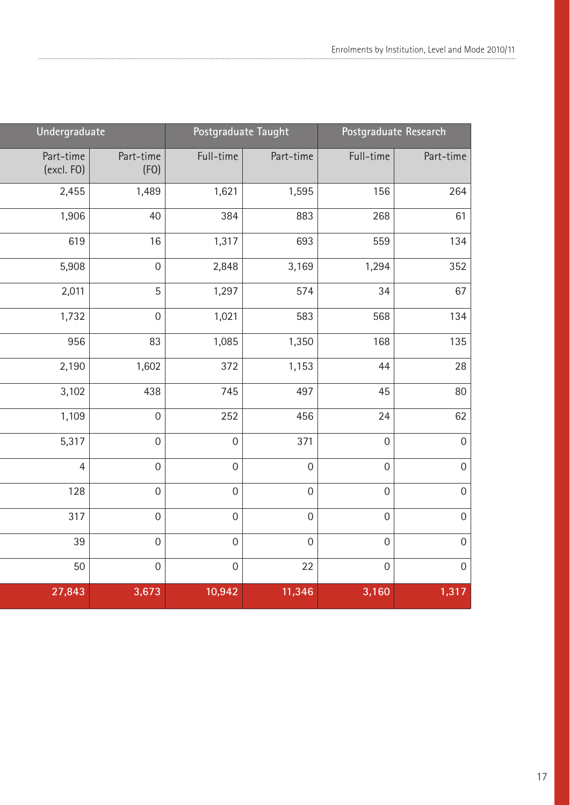| Undergraduate           |                   | Postgraduate Taught |                  | Postgraduate Research |                  |
|-------------------------|-------------------|---------------------|------------------|-----------------------|------------------|
| Part-time<br>(excl. FO) | Part-time<br>(FO) | Full-time           | Part-time        | Full-time             | Part-time        |
| 2,455                   | 1,489             | 1,621               | 1,595            | 156                   | 264              |
| 1,906                   | 40                | 384                 | 883              | 268                   | 61               |
| 619                     | 16                | 1,317               | 693              | 559                   | 134              |
| 5,908                   | $\boldsymbol{0}$  | 2,848               | 3,169            | 1,294                 | 352              |
| 2,011                   | 5                 | 1,297               | 574              | 34                    | 67               |
| 1,732                   | $\mathbf 0$       | 1,021               | 583              | 568                   | 134              |
| 956                     | 83                | 1,085               | 1,350            | 168                   | 135              |
| 2,190                   | 1,602             | 372                 | 1,153            | 44                    | 28               |
| 3,102                   | 438               | 745                 | 497              | 45                    | 80               |
| 1,109                   | $\mathbf 0$       | 252                 | 456              | 24                    | 62               |
| 5,317                   | $\mathbf 0$       | $\mathbf 0$         | 371              | $\mathbf 0$           | $\boldsymbol{0}$ |
| $\overline{4}$          | $\overline{0}$    | $\mathbf 0$         | $\boldsymbol{0}$ | $\mathbf 0$           | $\mathbf 0$      |
| 128                     | $\boldsymbol{0}$  | $\mathbf 0$         | $\mathbf 0$      | $\mathbf 0$           | $\mathbf 0$      |
| 317                     | $\mathbf 0$       | $\mathbf 0$         | $\mathbf 0$      | $\mathbf 0$           | $\mathbf 0$      |
| 39                      | $\mathbf 0$       | $\overline{0}$      | $\mathbf 0$      | $\mathbf 0$           | $\boldsymbol{0}$ |
| 50                      | $\mathbf 0$       | $\mathbf 0$         | 22               | $\mathbf 0$           | $\boldsymbol{0}$ |
| 27,843                  | 3,673             | 10,942              | 11,346           | 3,160                 | 1,317            |

l

ı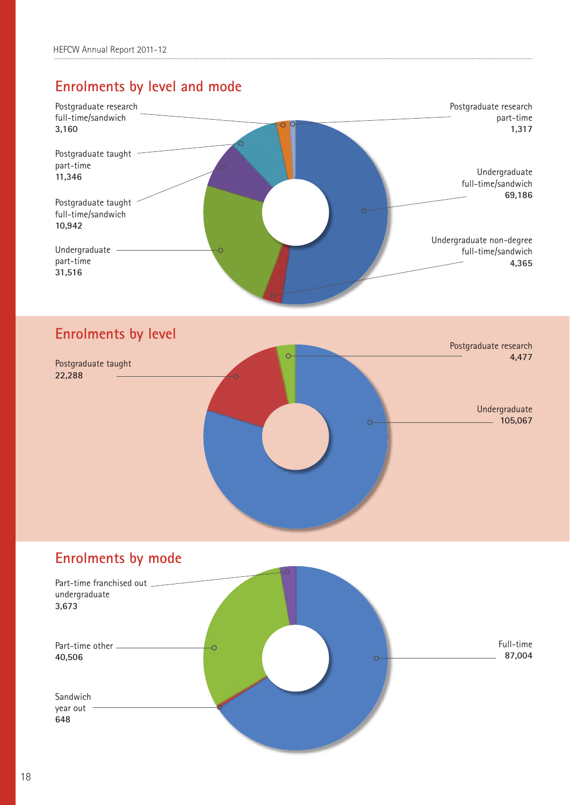### **Enrolments by level and mode**





### **Enrolments by mode**

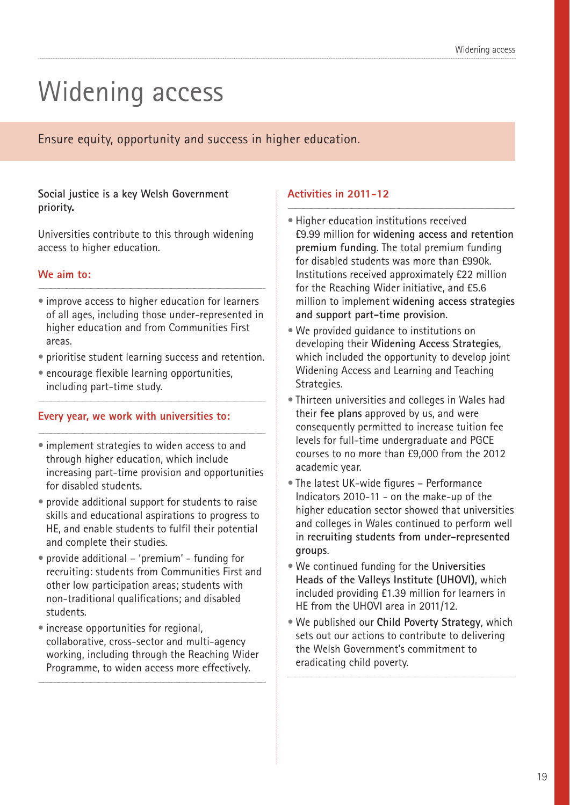## Widening access

Ensure equity, opportunity and success in higher education.

### **Social justice is a key Welsh Government priority.**

Universities contribute to this through widening access to higher education.

### **We aim to:**

- improve access to higher education for learners of all ages, including those under-represented in higher education and from Communities First areas.
- prioritise student learning success and retention.
- encourage flexible learning opportunities, including part-time study.

### **Every year, we work with universities to:**

- implement strategies to widen access to and through higher education, which include increasing part-time provision and opportunities for disabled students.
- provide additional support for students to raise skills and educational aspirations to progress to HE, and enable students to fulfil their potential and complete their studies.
- provide additional 'premium' funding for recruiting: students from Communities First and other low participation areas; students with non-traditional qualifications; and disabled students.
- increase opportunities for regional, collaborative, cross-sector and multi-agency working, including through the Reaching Wider Programme, to widen access more effectively.

- Higher education institutions received £9.99 million for **widening access and retention premium funding**. The total premium funding for disabled students was more than £990k. Institutions received approximately £22 million for the Reaching Wider initiative, and £5.6 million to implement **widening access strategies and support part-time provision**.
- We provided guidance to institutions on developing their **Widening Access Strategies**, which included the opportunity to develop joint Widening Access and Learning and Teaching Strategies.
- Thirteen universities and colleges in Wales had their **fee plans** approved by us, and were consequently permitted to increase tuition fee levels for full-time undergraduate and PGCE courses to no more than £9,000 from the 2012 academic year.
- The latest UK-wide figures Performance Indicators 2010-11 - on the make-up of the higher education sector showed that universities and colleges in Wales continued to perform well in **recruiting students from under-represented groups**.
- We continued funding for the **Universities Heads of the Valleys Institute (UHOVI)**, which included providing £1.39 million for learners in HE from the UHOVI area in 2011/12.
- We published our **Child Poverty Strategy**, which sets out our actions to contribute to delivering the Welsh Government's commitment to eradicating child poverty.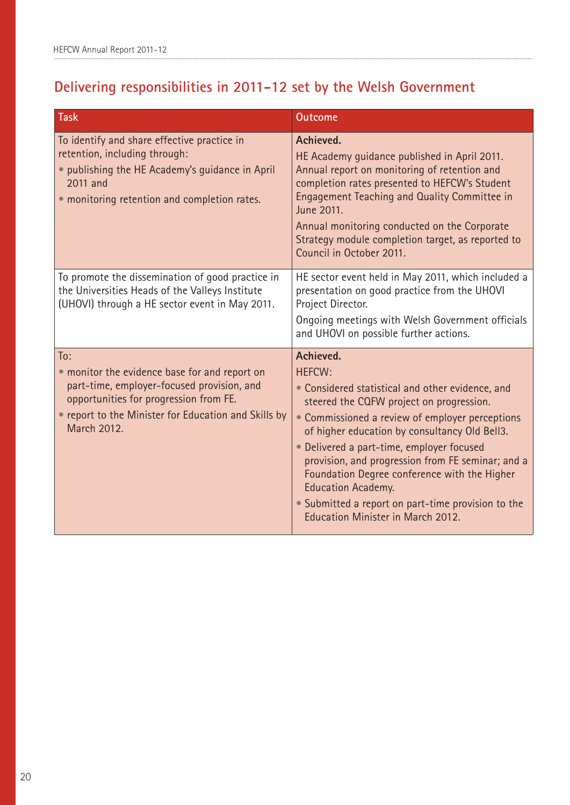### **Delivering responsibilities in 2011-12 set by the Welsh Government**

| Task                                                                                                                                                                                                                | <b>Outcome</b>                                                                                                                                                                                                                                                                                                                                                                                                                                                                                           |
|---------------------------------------------------------------------------------------------------------------------------------------------------------------------------------------------------------------------|----------------------------------------------------------------------------------------------------------------------------------------------------------------------------------------------------------------------------------------------------------------------------------------------------------------------------------------------------------------------------------------------------------------------------------------------------------------------------------------------------------|
| To identify and share effective practice in<br>retention, including through:<br>• publishing the HE Academy's guidance in April<br>2011 and<br>• monitoring retention and completion rates.                         | Achieved.<br>HE Academy guidance published in April 2011.<br>Annual report on monitoring of retention and<br>completion rates presented to HEFCW's Student<br>Engagement Teaching and Quality Committee in<br>June 2011.<br>Annual monitoring conducted on the Corporate<br>Strategy module completion target, as reported to<br>Council in October 2011.                                                                                                                                                |
| To promote the dissemination of good practice in<br>the Universities Heads of the Valleys Institute<br>(UHOVI) through a HE sector event in May 2011.                                                               | HE sector event held in May 2011, which included a<br>presentation on good practice from the UHOVI<br>Project Director.<br>Ongoing meetings with Welsh Government officials<br>and UHOVI on possible further actions.                                                                                                                                                                                                                                                                                    |
| To:<br>• monitor the evidence base for and report on<br>part-time, employer-focused provision, and<br>opportunities for progression from FE.<br>• report to the Minister for Education and Skills by<br>March 2012. | Achieved.<br><b>HEFCW:</b><br>• Considered statistical and other evidence, and<br>steered the CQFW project on progression.<br>• Commissioned a review of employer perceptions<br>of higher education by consultancy Old Bell3.<br>• Delivered a part-time, employer focused<br>provision, and progression from FE seminar; and a<br>Foundation Degree conference with the Higher<br><b>Education Academy.</b><br>• Submitted a report on part-time provision to the<br>Education Minister in March 2012. |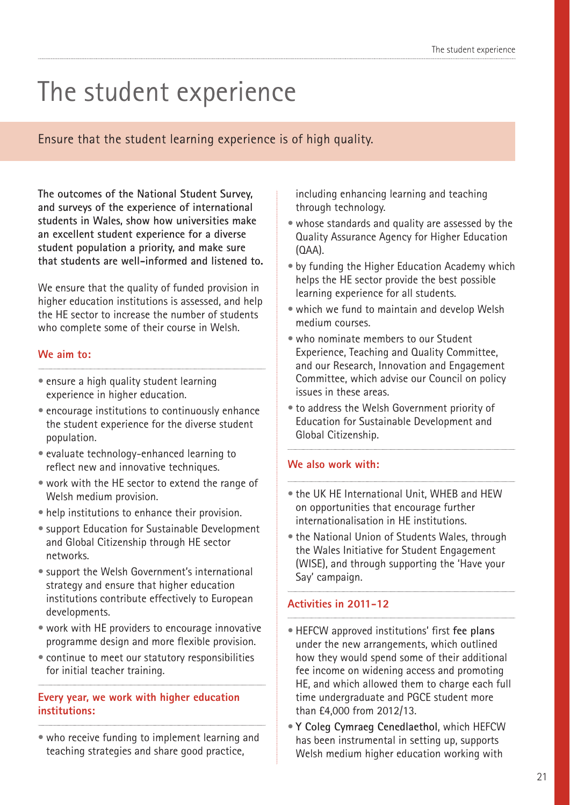## The student experience

Ensure that the student learning experience is of high quality.

**The outcomes of the National Student Survey, and surveys of the experience of international students in Wales, show how universities make an excellent student experience for a diverse student population a priority, and make sure that students are well-informed and listened to.**

We ensure that the quality of funded provision in higher education institutions is assessed, and help the HE sector to increase the number of students who complete some of their course in Welsh.

### **We aim to:**

- ensure a high quality student learning experience in higher education.
- encourage institutions to continuously enhance the student experience for the diverse student population.
- evaluate technology-enhanced learning to reflect new and innovative techniques.
- work with the HE sector to extend the range of Welsh medium provision.
- help institutions to enhance their provision.
- support Education for Sustainable Development and Global Citizenship through HE sector networks.
- support the Welsh Government's international strategy and ensure that higher education institutions contribute effectively to European developments.
- work with HE providers to encourage innovative programme design and more flexible provision.
- continue to meet our statutory responsibilities for initial teacher training.

### **Every year, we work with higher education institutions:**

• who receive funding to implement learning and teaching strategies and share good practice,

including enhancing learning and teaching through technology.

- whose standards and quality are assessed by the Quality Assurance Agency for Higher Education (QAA).
- by funding the Higher Education Academy which helps the HE sector provide the best possible learning experience for all students.
- which we fund to maintain and develop Welsh medium courses.
- who nominate members to our Student Experience, Teaching and Quality Committee, and our Research, Innovation and Engagement Committee, which advise our Council on policy issues in these areas.
- to address the Welsh Government priority of Education for Sustainable Development and Global Citizenship.

#### **We also work with:**

- the UK HE International Unit, WHEB and HEW on opportunities that encourage further internationalisation in HE institutions.
- the National Union of Students Wales, through the Wales Initiative for Student Engagement (WISE), and through supporting the 'Have your Say' campaign.

- HEFCW approved institutions' first **fee plans** under the new arrangements, which outlined how they would spend some of their additional fee income on widening access and promoting HE, and which allowed them to charge each full time undergraduate and PGCE student more than £4,000 from 2012/13.
- **Y Coleg Cymraeg Cenedlaethol**, which HEFCW has been instrumental in setting up, supports Welsh medium higher education working with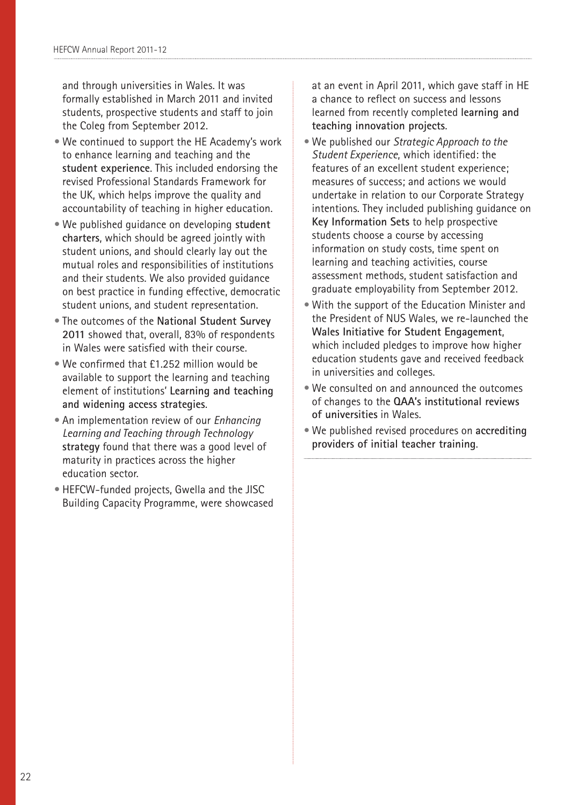and through universities in Wales. It was formally established in March 2011 and invited students, prospective students and staff to join the Coleg from September 2012.

- We continued to support the HE Academy's work to enhance learning and teaching and the **student experience**. This included endorsing the revised Professional Standards Framework for the UK, which helps improve the quality and accountability of teaching in higher education.
- We published guidance on developing **student charters**, which should be agreed jointly with student unions, and should clearly lay out the mutual roles and responsibilities of institutions and their students. We also provided guidance on best practice in funding effective, democratic student unions, and student representation.
- The outcomes of the **National Student Survey 2011** showed that, overall, 83% of respondents in Wales were satisfied with their course.
- We confirmed that £1.252 million would be available to support the learning and teaching element of institutions' **Learning and teaching and widening access strategies**.
- An implementation review of our *Enhancing Learning and Teaching through Technology* **strategy** found that there was a good level of maturity in practices across the higher education sector.
- HEFCW-funded projects, Gwella and the JISC Building Capacity Programme, were showcased

at an event in April 2011, which gave staff in HE a chance to reflect on success and lessons learned from recently completed **learning and teaching innovation projects**.

- We published our *Strategic Approach to the Student Experience*, which identified: the features of an excellent student experience; measures of success; and actions we would undertake in relation to our Corporate Strategy intentions. They included publishing guidance on **Key Information Sets** to help prospective students choose a course by accessing information on study costs, time spent on learning and teaching activities, course assessment methods, student satisfaction and graduate employability from September 2012.
- With the support of the Education Minister and the President of NUS Wales, we re-launched the **Wales Initiative for Student Engagement**, which included pledges to improve how higher education students gave and received feedback in universities and colleges.
- We consulted on and announced the outcomes of changes to the **QAA's institutional reviews of universities** in Wales.
- We published revised procedures on **accrediting providers of initial teacher training**.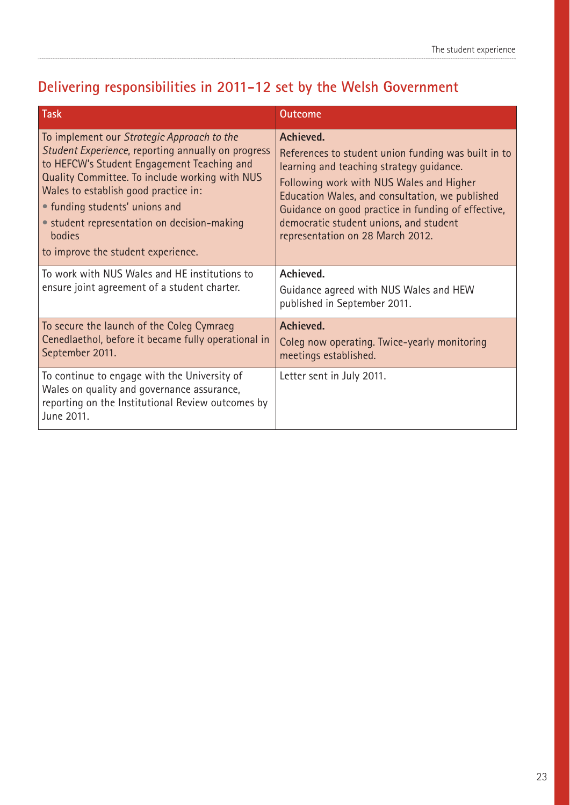### **Delivering responsibilities in 2011-12 set by the Welsh Government**

| <b>Task</b>                                                                                                                                                                                                                                                                                                                                                               | <b>Outcome</b>                                                                                                                                                                                                                                                                                                                                  |
|---------------------------------------------------------------------------------------------------------------------------------------------------------------------------------------------------------------------------------------------------------------------------------------------------------------------------------------------------------------------------|-------------------------------------------------------------------------------------------------------------------------------------------------------------------------------------------------------------------------------------------------------------------------------------------------------------------------------------------------|
| To implement our Strategic Approach to the<br>Student Experience, reporting annually on progress<br>to HEFCW's Student Engagement Teaching and<br>Quality Committee. To include working with NUS<br>Wales to establish good practice in:<br>• funding students' unions and<br>• student representation on decision-making<br>bodies<br>to improve the student experience. | Achieved.<br>References to student union funding was built in to<br>learning and teaching strategy guidance.<br>Following work with NUS Wales and Higher<br>Education Wales, and consultation, we published<br>Guidance on good practice in funding of effective,<br>democratic student unions, and student<br>representation on 28 March 2012. |
| To work with NUS Wales and HE institutions to<br>ensure joint agreement of a student charter.                                                                                                                                                                                                                                                                             | Achieved.<br>Guidance agreed with NUS Wales and HEW<br>published in September 2011.                                                                                                                                                                                                                                                             |
| To secure the launch of the Coleg Cymraeg<br>Cenedlaethol, before it became fully operational in<br>September 2011.                                                                                                                                                                                                                                                       | Achieved.<br>Coleg now operating. Twice-yearly monitoring<br>meetings established.                                                                                                                                                                                                                                                              |
| To continue to engage with the University of<br>Wales on quality and governance assurance,<br>reporting on the Institutional Review outcomes by<br>June 2011.                                                                                                                                                                                                             | Letter sent in July 2011.                                                                                                                                                                                                                                                                                                                       |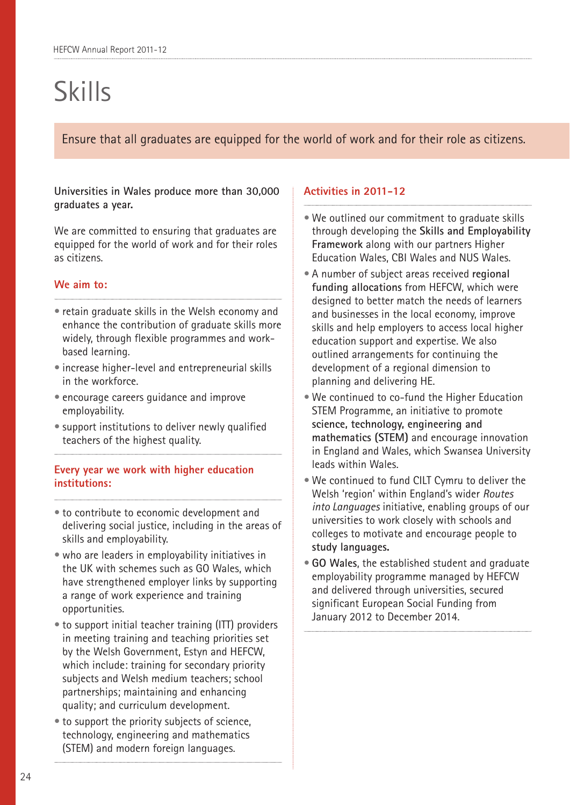## Skills

Ensure that all graduates are equipped for the world of work and for their role as citizens.

### **Universities in Wales produce more than 30,000 graduates a year.**

We are committed to ensuring that graduates are equipped for the world of work and for their roles as citizens.

### **We aim to:**

- retain graduate skills in the Welsh economy and enhance the contribution of graduate skills more widely, through flexible programmes and workbased learning.
- increase higher-level and entrepreneurial skills in the workforce.
- encourage careers guidance and improve employability.
- support institutions to deliver newly qualified teachers of the highest quality.

### **Every year we work with higher education institutions:**

- to contribute to economic development and delivering social justice, including in the areas of skills and employability.
- who are leaders in employability initiatives in the UK with schemes such as GO Wales, which have strengthened employer links by supporting a range of work experience and training opportunities.
- to support initial teacher training (ITT) providers in meeting training and teaching priorities set by the Welsh Government, Estyn and HEFCW, which include: training for secondary priority subjects and Welsh medium teachers; school partnerships; maintaining and enhancing quality; and curriculum development.
- to support the priority subjects of science, technology, engineering and mathematics (STEM) and modern foreign languages.

- We outlined our commitment to graduate skills through developing the **Skills and Employability Framework** along with our partners Higher Education Wales, CBI Wales and NUS Wales.
- A number of subject areas received **regional funding allocations** from HEFCW, which were designed to better match the needs of learners and businesses in the local economy, improve skills and help employers to access local higher education support and expertise. We also outlined arrangements for continuing the development of a regional dimension to planning and delivering HE.
- We continued to co-fund the Higher Education STEM Programme, an initiative to promote **science, technology, engineering and mathematics (STEM)** and encourage innovation in England and Wales, which Swansea University leads within Wales.
- We continued to fund CILT Cymru to deliver the Welsh 'region' within England's wider *Routes into Languages* initiative, enabling groups of our universities to work closely with schools and colleges to motivate and encourage people to **study languages.**
- **GO Wales**, the established student and graduate employability programme managed by HEFCW and delivered through universities, secured significant European Social Funding from January 2012 to December 2014.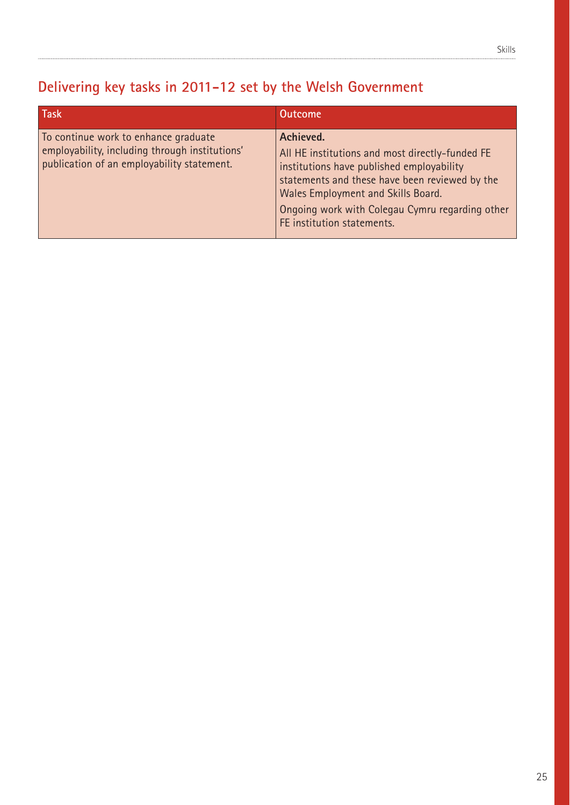### **Delivering key tasks in 2011-12 set by the Welsh Government**

| <b>Task</b>                                                                                                                          | <b>Outcome</b>                                                                                                                                                                                                                                                                     |
|--------------------------------------------------------------------------------------------------------------------------------------|------------------------------------------------------------------------------------------------------------------------------------------------------------------------------------------------------------------------------------------------------------------------------------|
| To continue work to enhance graduate<br>employability, including through institutions'<br>publication of an employability statement. | Achieved.<br>All HE institutions and most directly-funded FE<br>institutions have published employability<br>statements and these have been reviewed by the<br>Wales Employment and Skills Board.<br>Ongoing work with Colegau Cymru regarding other<br>FE institution statements. |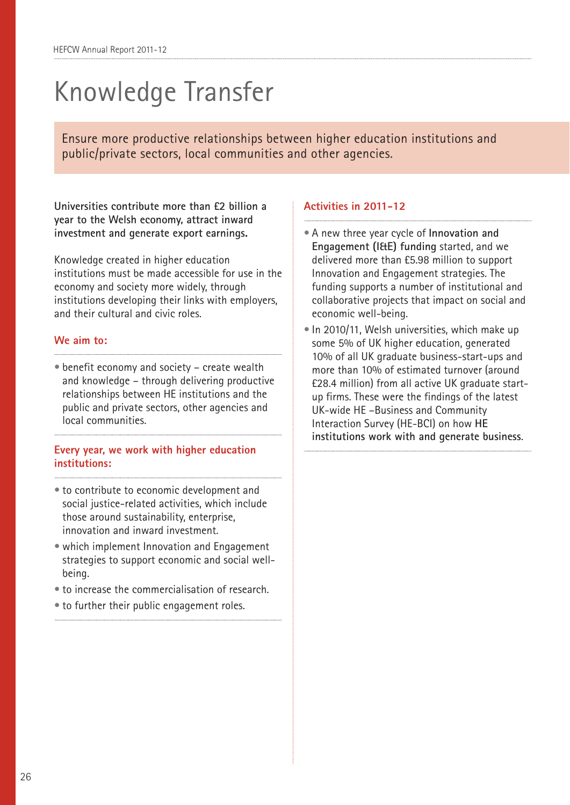## Knowledge Transfer

Ensure more productive relationships between higher education institutions and public/private sectors, local communities and other agencies.

**Universities contribute more than £2 billion a year to the Welsh economy, attract inward investment and generate export earnings.** 

Knowledge created in higher education institutions must be made accessible for use in the economy and society more widely, through institutions developing their links with employers, and their cultural and civic roles.

### **We aim to:**

• benefit economy and society – create wealth and knowledge – through delivering productive relationships between HE institutions and the public and private sectors, other agencies and local communities.

### **Every year, we work with higher education institutions:**

- to contribute to economic development and social justice-related activities, which include those around sustainability, enterprise, innovation and inward investment.
- which implement Innovation and Engagement strategies to support economic and social wellbeing.
- to increase the commercialisation of research.
- to further their public engagement roles.

- A new three year cycle of **Innovation and Engagement (I&E) funding** started, and we delivered more than £5.98 million to support Innovation and Engagement strategies. The funding supports a number of institutional and collaborative projects that impact on social and economic well-being.
- In 2010/11, Welsh universities, which make up some 5% of UK higher education, generated 10% of all UK graduate business-start-ups and more than 10% of estimated turnover (around £28.4 million) from all active UK graduate startup firms. These were the findings of the latest UK-wide HE –Business and Community Interaction Survey (HE-BCI) on how **HE institutions work with and generate business**.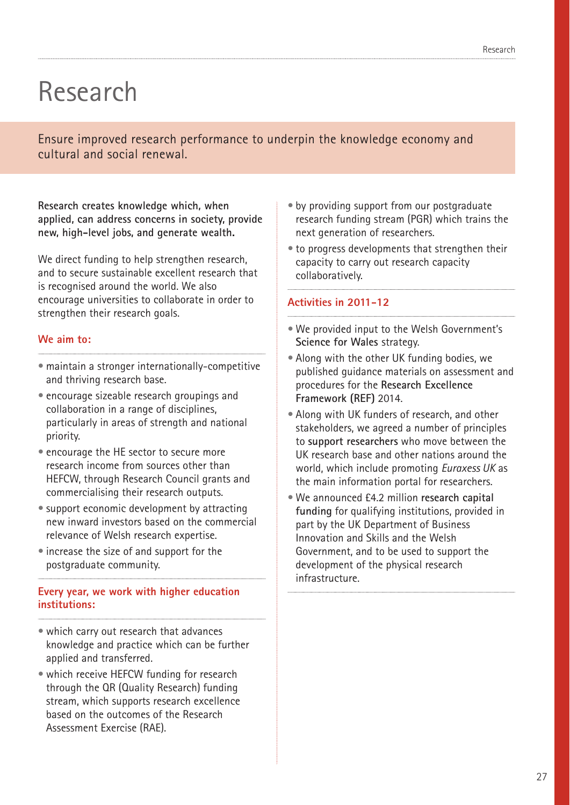### Research

Ensure improved research performance to underpin the knowledge economy and cultural and social renewal.

**Research creates knowledge which, when applied, can address concerns in society, provide new, high-level jobs, and generate wealth.** 

We direct funding to help strengthen research, and to secure sustainable excellent research that is recognised around the world. We also encourage universities to collaborate in order to strengthen their research goals.

### **We aim to:**

- maintain a stronger internationally-competitive and thriving research base.
- encourage sizeable research groupings and collaboration in a range of disciplines, particularly in areas of strength and national priority.
- encourage the HE sector to secure more research income from sources other than HEFCW, through Research Council grants and commercialising their research outputs.
- support economic development by attracting new inward investors based on the commercial relevance of Welsh research expertise.
- increase the size of and support for the postgraduate community.

### **Every year, we work with higher education institutions:**

- which carry out research that advances knowledge and practice which can be further applied and transferred.
- which receive HEFCW funding for research through the QR (Quality Research) funding stream, which supports research excellence based on the outcomes of the Research Assessment Exercise (RAE).
- by providing support from our postgraduate research funding stream (PGR) which trains the next generation of researchers.
- to progress developments that strengthen their capacity to carry out research capacity collaboratively.

- We provided input to the Welsh Government's **Science for Wales** strategy.
- Along with the other UK funding bodies, we published guidance materials on assessment and procedures for the **Research Excellence Framework (REF)** 2014.
- Along with UK funders of research, and other stakeholders, we agreed a number of principles to **support researchers** who move between the UK research base and other nations around the world, which include promoting *Euraxess UK* as the main information portal for researchers.
- We announced £4.2 million **research capital funding** for qualifying institutions, provided in part by the UK Department of Business Innovation and Skills and the Welsh Government, and to be used to support the development of the physical research infrastructure.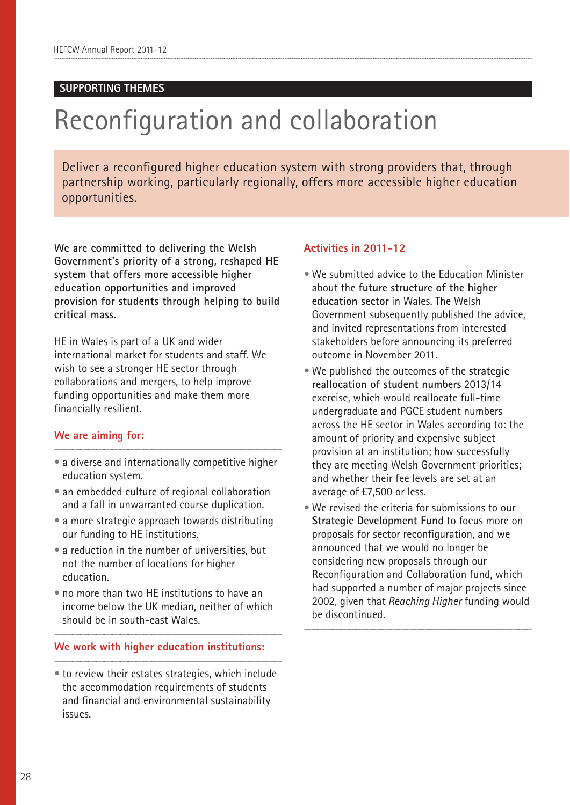### **SUPPORTING THEMES**

## Reconfiguration and collaboration

Deliver a reconfigured higher education system with strong providers that, through partnership working, particularly regionally, offers more accessible higher education opportunities.

**We are committed to delivering the Welsh Government's priority of a strong, reshaped HE system that offers more accessible higher education opportunities and improved provision for students through helping to build critical mass.**

HE in Wales is part of a UK and wider international market for students and staff. We wish to see a stronger HE sector through collaborations and mergers, to help improve funding opportunities and make them more financially resilient.

#### **We are aiming for:**

- a diverse and internationally competitive higher education system.
- an embedded culture of regional collaboration and a fall in unwarranted course duplication.
- a more strategic approach towards distributing our funding to HE institutions.
- a reduction in the number of universities, but not the number of locations for higher education.
- no more than two HE institutions to have an income below the UK median, neither of which should be in south-east Wales.

#### **We work with higher education institutions:**

• to review their estates strategies, which include the accommodation requirements of students and financial and environmental sustainability issues.

- We submitted advice to the Education Minister about the **future structure of the higher education sector** in Wales. The Welsh Government subsequently published the advice, and invited representations from interested stakeholders before announcing its preferred outcome in November 2011.
- We published the outcomes of the **strategic reallocation of student numbers** 2013/14 exercise, which would reallocate full-time undergraduate and PGCE student numbers across the HE sector in Wales according to: the amount of priority and expensive subject provision at an institution; how successfully they are meeting Welsh Government priorities; and whether their fee levels are set at an average of £7,500 or less.
- We revised the criteria for submissions to our **Strategic Development Fund** to focus more on proposals for sector reconfiguration, and we announced that we would no longer be considering new proposals through our Reconfiguration and Collaboration fund, which had supported a number of major projects since 2002, given that *Reaching Higher* funding would be discontinued.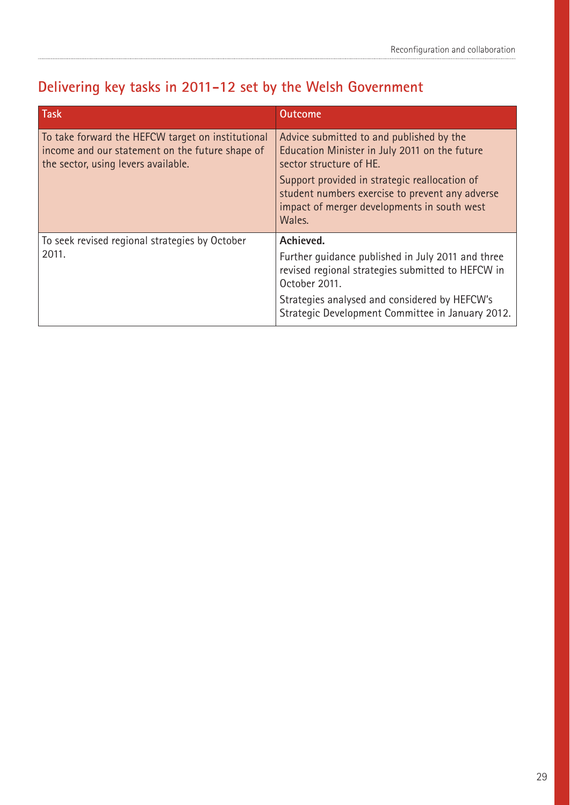### **Delivering key tasks in 2011-12 set by the Welsh Government**

| Task                                                                                                                                        | <b>Outcome</b>                                                                                                                                                                                                                                                                    |
|---------------------------------------------------------------------------------------------------------------------------------------------|-----------------------------------------------------------------------------------------------------------------------------------------------------------------------------------------------------------------------------------------------------------------------------------|
| To take forward the HEFCW target on institutional<br>income and our statement on the future shape of<br>the sector, using levers available. | Advice submitted to and published by the<br>Education Minister in July 2011 on the future<br>sector structure of HE.<br>Support provided in strategic reallocation of<br>student numbers exercise to prevent any adverse<br>impact of merger developments in south west<br>Wales. |
| To seek revised regional strategies by October<br>2011.                                                                                     | Achieved.<br>Further guidance published in July 2011 and three<br>revised regional strategies submitted to HEFCW in<br>October 2011.<br>Strategies analysed and considered by HEFCW's<br>Strategic Development Committee in January 2012.                                         |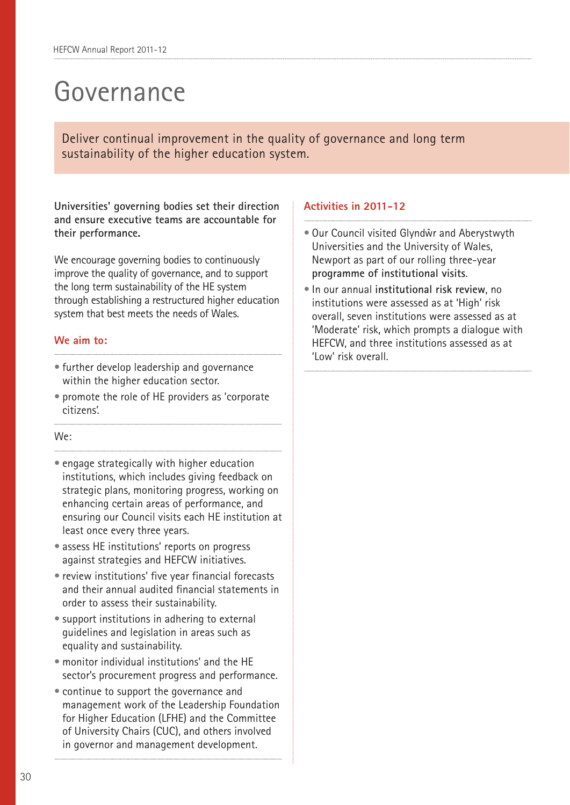## Governance

Deliver continual improvement in the quality of governance and long term sustainability of the higher education system.

**Universities' governing bodies set their direction and ensure executive teams are accountable for their performance.** 

We encourage governing bodies to continuously improve the quality of governance, and to support the long term sustainability of the HE system through establishing a restructured higher education system that best meets the needs of Wales.

### **We aim to:**

- further develop leadership and governance within the higher education sector.
- promote the role of HE providers as 'corporate citizens'.

#### We:

- engage strategically with higher education institutions, which includes giving feedback on strategic plans, monitoring progress, working on enhancing certain areas of performance, and ensuring our Council visits each HE institution at least once every three years.
- assess HE institutions' reports on progress against strategies and HEFCW initiatives.
- review institutions' five year financial forecasts and their annual audited financial statements in order to assess their sustainability.
- support institutions in adhering to external guidelines and legislation in areas such as equality and sustainability.
- monitor individual institutions' and the HE sector's procurement progress and performance.
- continue to support the governance and management work of the Leadership Foundation for Higher Education (LFHE) and the Committee of University Chairs (CUC), and others involved in governor and management development.

- Our Council visited Glyndŵr and Aberystwyth Universities and the University of Wales, Newport as part of our rolling three-year **programme of institutional visits**.
- In our annual **institutional risk review**, no institutions were assessed as at 'High' risk overall, seven institutions were assessed as at 'Moderate' risk, which prompts a dialogue with HEFCW, and three institutions assessed as at 'Low' risk overall.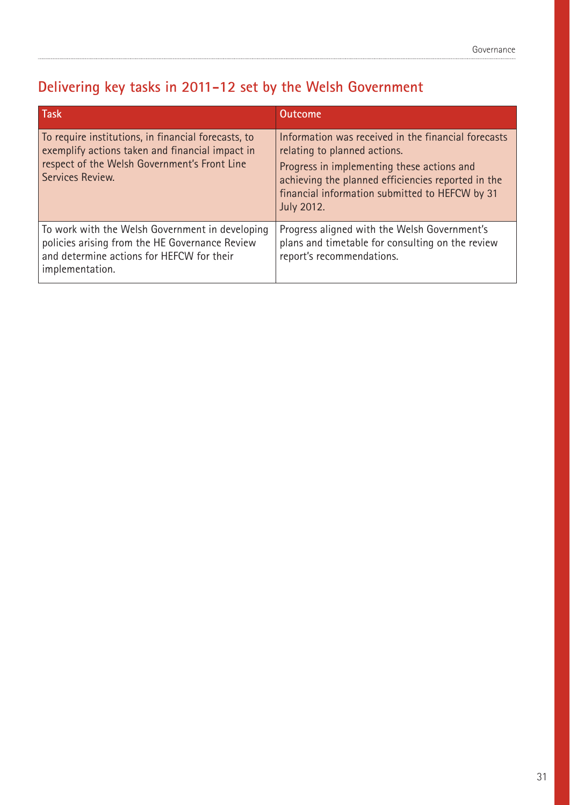### **Delivering key tasks in 2011-12 set by the Welsh Government**

| <b>Task</b>                                                                                                                                                                | <b>Outcome</b>                                                                                                                                                                                                                                                 |
|----------------------------------------------------------------------------------------------------------------------------------------------------------------------------|----------------------------------------------------------------------------------------------------------------------------------------------------------------------------------------------------------------------------------------------------------------|
| To require institutions, in financial forecasts, to<br>exemplify actions taken and financial impact in<br>respect of the Welsh Government's Front Line<br>Services Review. | Information was received in the financial forecasts<br>relating to planned actions.<br>Progress in implementing these actions and<br>achieving the planned efficiencies reported in the<br>financial information submitted to HEFCW by 31<br><b>July 2012.</b> |
| To work with the Welsh Government in developing<br>policies arising from the HE Governance Review<br>and determine actions for HEFCW for their<br>implementation.          | Progress aligned with the Welsh Government's<br>plans and timetable for consulting on the review<br>report's recommendations.                                                                                                                                  |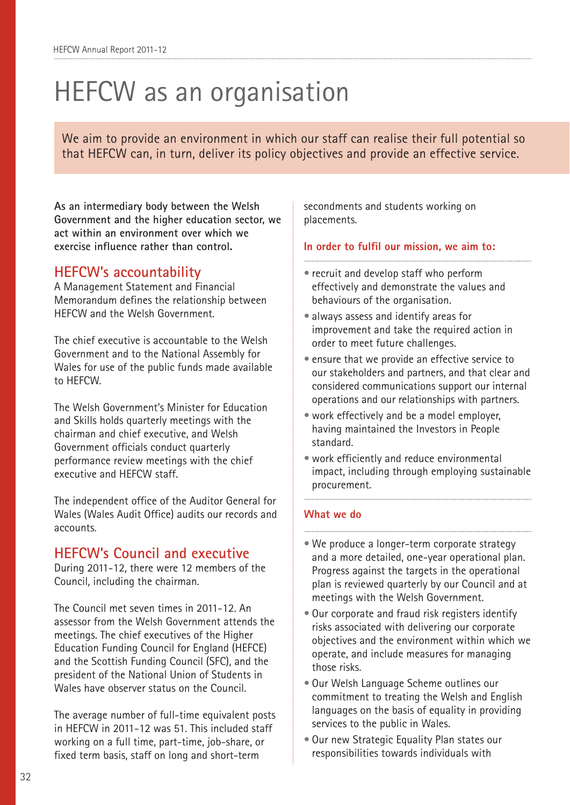## HEFCW as an organisation

We aim to provide an environment in which our staff can realise their full potential so that HEFCW can, in turn, deliver its policy objectives and provide an effective service.

**As an intermediary body between the Welsh Government and the higher education sector, we act within an environment over which we exercise influence rather than control.**

### **HEFCW's accountability**

A Management Statement and Financial Memorandum defines the relationship between HEFCW and the Welsh Government.

The chief executive is accountable to the Welsh Government and to the National Assembly for Wales for use of the public funds made available to HEFCW.

The Welsh Government's Minister for Education and Skills holds quarterly meetings with the chairman and chief executive, and Welsh Government officials conduct quarterly performance review meetings with the chief executive and HEFCW staff.

The independent office of the Auditor General for Wales (Wales Audit Office) audits our records and accounts.

### **HEFCW's Council and executive**

During 2011-12, there were 12 members of the Council, including the chairman.

The Council met seven times in 2011-12. An assessor from the Welsh Government attends the meetings. The chief executives of the Higher Education Funding Council for England (HEFCE) and the Scottish Funding Council (SFC), and the president of the National Union of Students in Wales have observer status on the Council.

The average number of full-time equivalent posts in HEFCW in 2011-12 was 51. This included staff working on a full time, part-time, job-share, or fixed term basis, staff on long and short-term

secondments and students working on placements.

### **In order to fulfil our mission, we aim to:**

- recruit and develop staff who perform effectively and demonstrate the values and behaviours of the organisation.
- always assess and identify areas for improvement and take the required action in order to meet future challenges.
- ensure that we provide an effective service to our stakeholders and partners, and that clear and considered communications support our internal operations and our relationships with partners.
- work effectively and be a model employer, having maintained the Investors in People standard.
- work efficiently and reduce environmental impact, including through employing sustainable procurement.

### **What we do**

- We produce a longer-term corporate strategy and a more detailed, one-year operational plan. Progress against the targets in the operational plan is reviewed quarterly by our Council and at meetings with the Welsh Government.
- Our corporate and fraud risk registers identify risks associated with delivering our corporate objectives and the environment within which we operate, and include measures for managing those risks.
- Our Welsh Language Scheme outlines our commitment to treating the Welsh and English languages on the basis of equality in providing services to the public in Wales.
- Our new Strategic Equality Plan states our responsibilities towards individuals with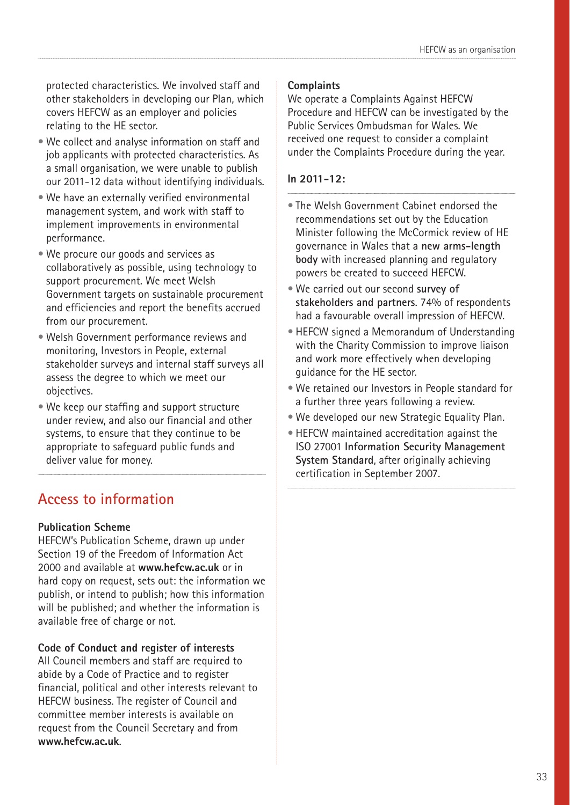protected characteristics. We involved staff and other stakeholders in developing our Plan, which covers HEFCW as an employer and policies relating to the HE sector.

- We collect and analyse information on staff and job applicants with protected characteristics. As a small organisation, we were unable to publish our 2011-12 data without identifying individuals.
- We have an externally verified environmental management system, and work with staff to implement improvements in environmental performance.
- We procure our goods and services as collaboratively as possible, using technology to support procurement. We meet Welsh Government targets on sustainable procurement and efficiencies and report the benefits accrued from our procurement.
- Welsh Government performance reviews and monitoring, Investors in People, external stakeholder surveys and internal staff surveys all assess the degree to which we meet our objectives.
- We keep our staffing and support structure under review, and also our financial and other systems, to ensure that they continue to be appropriate to safeguard public funds and deliver value for money.

### **Access to information**

### **Publication Scheme**

HEFCW's Publication Scheme, drawn up under Section 19 of the Freedom of Information Act 2000 and available at **www.hefcw.ac.uk** or in hard copy on request, sets out: the information we publish, or intend to publish; how this information will be published; and whether the information is available free of charge or not.

### **Code of Conduct and register of interests**

All Council members and staff are required to abide by a Code of Practice and to register financial, political and other interests relevant to HEFCW business. The register of Council and committee member interests is available on request from the Council Secretary and from **www.hefcw.ac.uk**.

### **Complaints**

We operate a Complaints Against HEFCW Procedure and HEFCW can be investigated by the Public Services Ombudsman for Wales. We received one request to consider a complaint under the Complaints Procedure during the year.

### **In 2011-12:**

- The Welsh Government Cabinet endorsed the recommendations set out by the Education Minister following the McCormick review of HE governance in Wales that a **new arms-length body** with increased planning and regulatory powers be created to succeed HEFCW.
- We carried out our second **survey of stakeholders and partners**. 74% of respondents had a favourable overall impression of HEFCW.
- HEFCW signed a Memorandum of Understanding with the Charity Commission to improve liaison and work more effectively when developing guidance for the HE sector.
- We retained our Investors in People standard for a further three years following a review.
- We developed our new Strategic Equality Plan.
- HEFCW maintained accreditation against the ISO 27001 **Information Security Management System Standard**, after originally achieving certification in September 2007.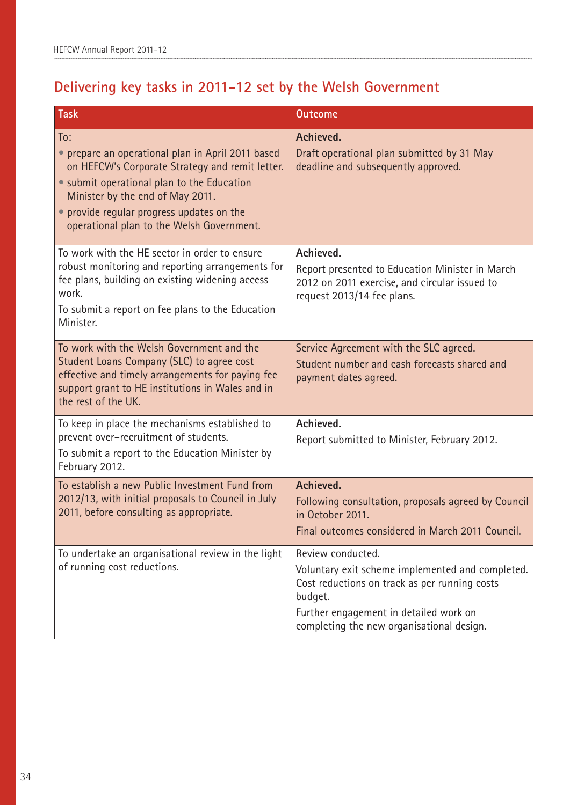### **Delivering key tasks in 2011-12 set by the Welsh Government**

| Task                                                                                                                                                                                                                                                                                    | <b>Outcome</b>                                                                                                                                                                                                           |
|-----------------------------------------------------------------------------------------------------------------------------------------------------------------------------------------------------------------------------------------------------------------------------------------|--------------------------------------------------------------------------------------------------------------------------------------------------------------------------------------------------------------------------|
| To:<br>• prepare an operational plan in April 2011 based<br>on HEFCW's Corporate Strategy and remit letter.<br>• submit operational plan to the Education<br>Minister by the end of May 2011.<br>• provide regular progress updates on the<br>operational plan to the Welsh Government. | Achieved.<br>Draft operational plan submitted by 31 May<br>deadline and subsequently approved.                                                                                                                           |
| To work with the HE sector in order to ensure<br>robust monitoring and reporting arrangements for<br>fee plans, building on existing widening access<br>work.<br>To submit a report on fee plans to the Education<br>Minister.                                                          | Achieved.<br>Report presented to Education Minister in March<br>2012 on 2011 exercise, and circular issued to<br>request 2013/14 fee plans.                                                                              |
| To work with the Welsh Government and the<br>Student Loans Company (SLC) to agree cost<br>effective and timely arrangements for paying fee<br>support grant to HE institutions in Wales and in<br>the rest of the UK.                                                                   | Service Agreement with the SLC agreed.<br>Student number and cash forecasts shared and<br>payment dates agreed.                                                                                                          |
| To keep in place the mechanisms established to<br>prevent over-recruitment of students.<br>To submit a report to the Education Minister by<br>February 2012.                                                                                                                            | Achieved.<br>Report submitted to Minister, February 2012.                                                                                                                                                                |
| To establish a new Public Investment Fund from<br>2012/13, with initial proposals to Council in July<br>2011, before consulting as appropriate.                                                                                                                                         | Achieved.<br>Following consultation, proposals agreed by Council<br>in October 2011.<br>Final outcomes considered in March 2011 Council.                                                                                 |
| To undertake an organisational review in the light<br>of running cost reductions.                                                                                                                                                                                                       | Review conducted.<br>Voluntary exit scheme implemented and completed.<br>Cost reductions on track as per running costs<br>budget.<br>Further engagement in detailed work on<br>completing the new organisational design. |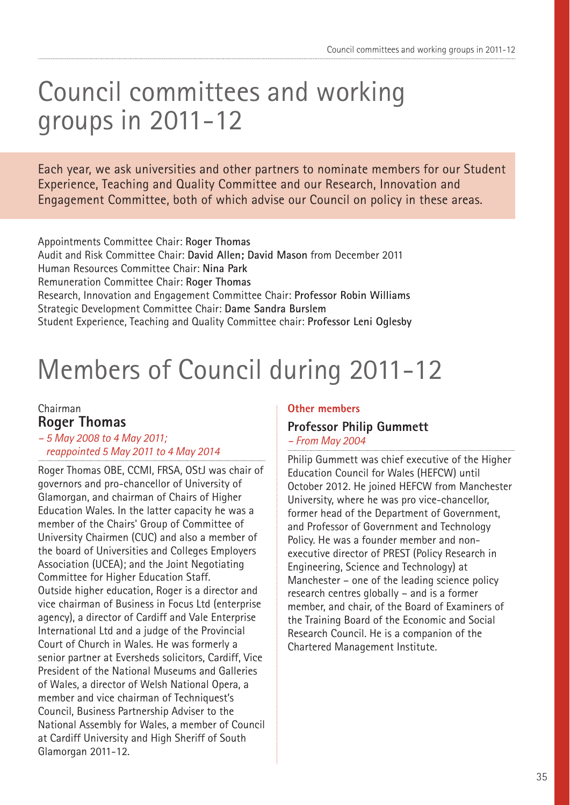## Council committees and working groups in 2011-12

Each year, we ask universities and other partners to nominate members for our Student Experience, Teaching and Quality Committee and our Research, Innovation and Engagement Committee, both of which advise our Council on policy in these areas.

Appointments Committee Chair: **Roger Thomas**  Audit and Risk Committee Chair: **David Allen; David Mason** from December 2011 Human Resources Committee Chair: **Nina Park** Remuneration Committee Chair: **Roger Thomas**  Research, Innovation and Engagement Committee Chair: **Professor Robin Williams** Strategic Development Committee Chair: **Dame Sandra Burslem** Student Experience, Teaching and Quality Committee chair: **Professor Leni Oglesby** 

## Members of Council during 2011-12

### Chairman **Roger Thomas**

### *– 5 May 2008 to 4 May 2011; reappointed 5 May 2011 to 4 May 2014*

Roger Thomas OBE, CCMI, FRSA, OStJ was chair of governors and pro-chancellor of University of Glamorgan, and chairman of Chairs of Higher Education Wales. In the latter capacity he was a member of the Chairs' Group of Committee of University Chairmen (CUC) and also a member of the board of Universities and Colleges Employers Association (UCEA); and the Joint Negotiating Committee for Higher Education Staff. Outside higher education, Roger is a director and vice chairman of Business in Focus Ltd (enterprise agency), a director of Cardiff and Vale Enterprise International Ltd and a judge of the Provincial Court of Church in Wales. He was formerly a senior partner at Eversheds solicitors, Cardiff, Vice President of the National Museums and Galleries of Wales, a director of Welsh National Opera, a member and vice chairman of Techniquest's Council, Business Partnership Adviser to the National Assembly for Wales, a member of Council at Cardiff University and High Sheriff of South Glamorgan 2011-12.

### **Other members**

### **Professor Philip Gummett** *– From May 2004*

Philip Gummett was chief executive of the Higher Education Council for Wales (HEFCW) until October 2012. He joined HEFCW from Manchester University, where he was pro vice-chancellor, former head of the Department of Government, and Professor of Government and Technology Policy. He was a founder member and nonexecutive director of PREST (Policy Research in Engineering, Science and Technology) at Manchester – one of the leading science policy research centres globally – and is a former member, and chair, of the Board of Examiners of the Training Board of the Economic and Social Research Council. He is a companion of the Chartered Management Institute.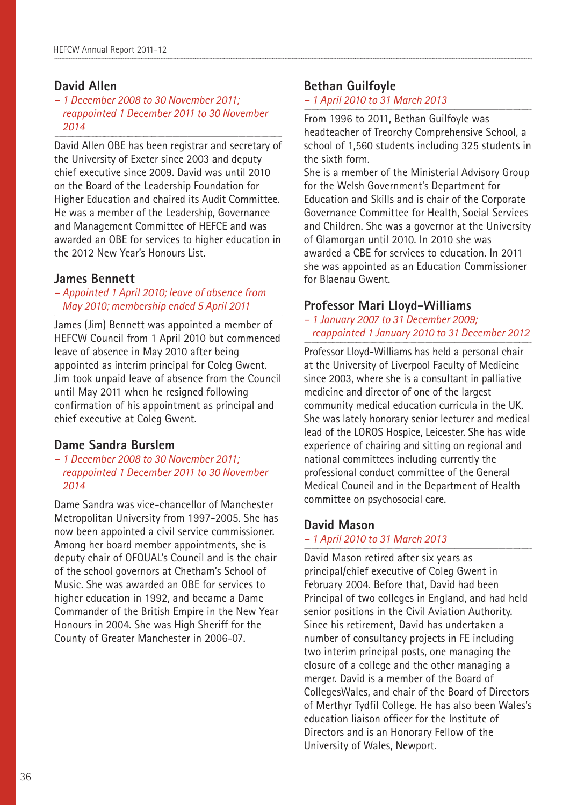### **David Allen**

*– 1 December 2008 to 30 November 2011; reappointed 1 December 2011 to 30 November 2014*

David Allen OBE has been registrar and secretary of the University of Exeter since 2003 and deputy chief executive since 2009. David was until 2010 on the Board of the Leadership Foundation for Higher Education and chaired its Audit Committee. He was a member of the Leadership, Governance and Management Committee of HEFCE and was awarded an OBE for services to higher education in the 2012 New Year's Honours List.

### **James Bennett**

### *– Appointed 1 April 2010; leave of absence from May 2010; membership ended 5 April 2011*

James (Jim) Bennett was appointed a member of HEFCW Council from 1 April 2010 but commenced leave of absence in May 2010 after being appointed as interim principal for Coleg Gwent. Jim took unpaid leave of absence from the Council until May 2011 when he resigned following confirmation of his appointment as principal and chief executive at Coleg Gwent.

### **Dame Sandra Burslem**

*– 1 December 2008 to 30 November 2011; reappointed 1 December 2011 to 30 November 2014*

Dame Sandra was vice-chancellor of Manchester Metropolitan University from 1997-2005. She has now been appointed a civil service commissioner. Among her board member appointments, she is deputy chair of OFQUAL's Council and is the chair of the school governors at Chetham's School of Music. She was awarded an OBE for services to higher education in 1992, and became a Dame Commander of the British Empire in the New Year Honours in 2004. She was High Sheriff for the County of Greater Manchester in 2006-07.

### **Bethan Guilfoyle**

### *– 1 April 2010 to 31 March 2013*

From 1996 to 2011, Bethan Guilfoyle was headteacher of Treorchy Comprehensive School, a school of 1,560 students including 325 students in the sixth form.

She is a member of the Ministerial Advisory Group for the Welsh Government's Department for Education and Skills and is chair of the Corporate Governance Committee for Health, Social Services and Children. She was a governor at the University of Glamorgan until 2010. In 2010 she was awarded a CBE for services to education. In 2011 she was appointed as an Education Commissioner for Blaenau Gwent.

### **Professor Mari Lloyd-Williams**

#### *– 1 January 2007 to 31 December 2009; reappointed 1 January 2010 to 31 December 2012*

Professor Lloyd-Williams has held a personal chair at the University of Liverpool Faculty of Medicine since 2003, where she is a consultant in palliative medicine and director of one of the largest community medical education curricula in the UK. She was lately honorary senior lecturer and medical lead of the LOROS Hospice, Leicester. She has wide experience of chairing and sitting on regional and national committees including currently the professional conduct committee of the General Medical Council and in the Department of Health committee on psychosocial care.

### **David Mason**

### *– 1 April 2010 to 31 March 2013*

David Mason retired after six years as principal/chief executive of Coleg Gwent in February 2004. Before that, David had been Principal of two colleges in England, and had held senior positions in the Civil Aviation Authority. Since his retirement, David has undertaken a number of consultancy projects in FE including two interim principal posts, one managing the closure of a college and the other managing a merger. David is a member of the Board of CollegesWales, and chair of the Board of Directors of Merthyr Tydfil College. He has also been Wales's education liaison officer for the Institute of Directors and is an Honorary Fellow of the University of Wales, Newport.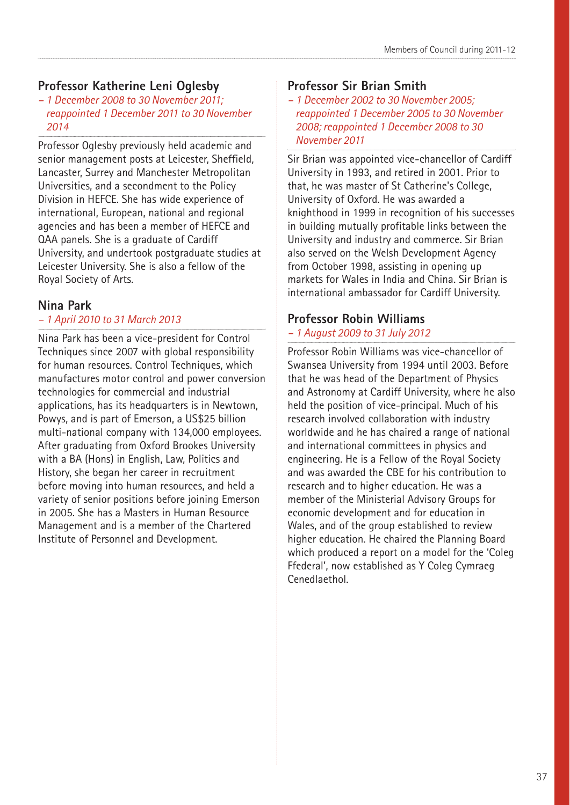### **Professor Katherine Leni Oglesby**

*– 1 December 2008 to 30 November 2011; reappointed 1 December 2011 to 30 November 2014*

Professor Oglesby previously held academic and senior management posts at Leicester, Sheffield, Lancaster, Surrey and Manchester Metropolitan Universities, and a secondment to the Policy Division in HEFCE. She has wide experience of international, European, national and regional agencies and has been a member of HEFCE and QAA panels. She is a graduate of Cardiff University, and undertook postgraduate studies at Leicester University. She is also a fellow of the Royal Society of Arts.

### **Nina Park**

### *– 1 April 2010 to 31 March 2013*

Nina Park has been a vice-president for Control Techniques since 2007 with global responsibility for human resources. Control Techniques, which manufactures motor control and power conversion technologies for commercial and industrial applications, has its headquarters is in Newtown, Powys, and is part of Emerson, a US\$25 billion multi-national company with 134,000 employees. After graduating from Oxford Brookes University with a BA (Hons) in English, Law, Politics and History, she began her career in recruitment before moving into human resources, and held a variety of senior positions before joining Emerson in 2005. She has a Masters in Human Resource Management and is a member of the Chartered Institute of Personnel and Development.

### **Professor Sir Brian Smith**

*– 1 December 2002 to 30 November 2005; reappointed 1 December 2005 to 30 November 2008; reappointed 1 December 2008 to 30 November 2011* 

Sir Brian was appointed vice-chancellor of Cardiff University in 1993, and retired in 2001. Prior to that, he was master of St Catherine's College, University of Oxford. He was awarded a knighthood in 1999 in recognition of his successes in building mutually profitable links between the University and industry and commerce. Sir Brian also served on the Welsh Development Agency from October 1998, assisting in opening up markets for Wales in India and China. Sir Brian is international ambassador for Cardiff University.

### **Professor Robin Williams**

### *– 1 August 2009 to 31 July 2012*

Professor Robin Williams was vice-chancellor of Swansea University from 1994 until 2003. Before that he was head of the Department of Physics and Astronomy at Cardiff University, where he also held the position of vice-principal. Much of his research involved collaboration with industry worldwide and he has chaired a range of national and international committees in physics and engineering. He is a Fellow of the Royal Society and was awarded the CBE for his contribution to research and to higher education. He was a member of the Ministerial Advisory Groups for economic development and for education in Wales, and of the group established to review higher education. He chaired the Planning Board which produced a report on a model for the 'Coleg Ffederal', now established as Y Coleg Cymraeg Cenedlaethol.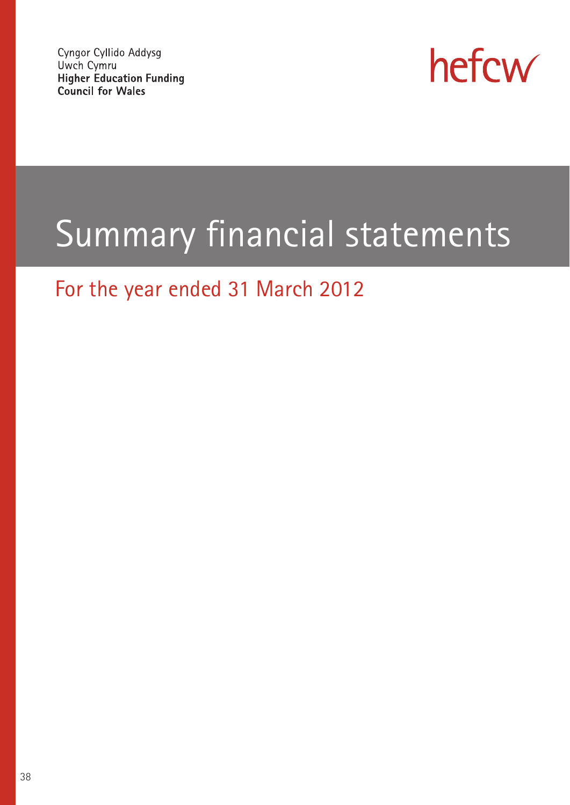Cyngor Cyllido Addysg Uwch Cymru **Higher Education Funding** Council for Wales



# Summary financial statements

### For the year ended 31 March 2012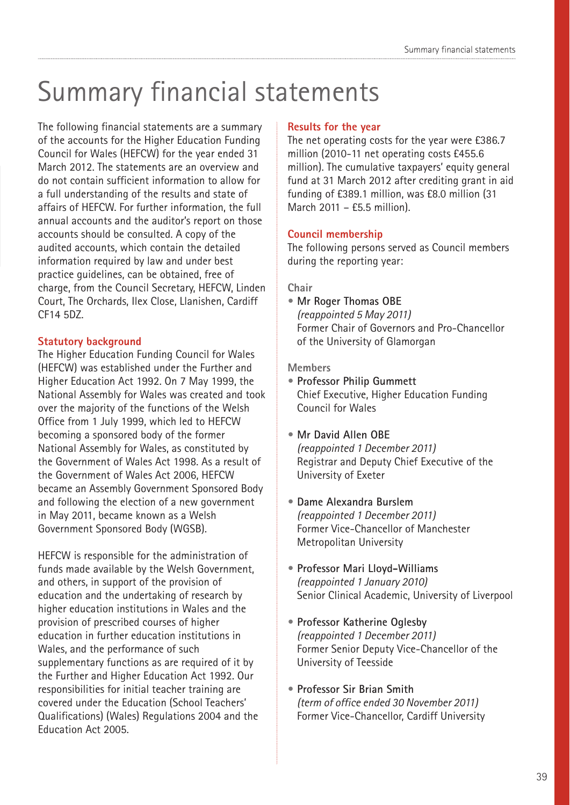## Summary financial statements

The following financial statements are a summary of the accounts for the Higher Education Funding Council for Wales (HEFCW) for the year ended 31 March 2012. The statements are an overview and do not contain sufficient information to allow for a full understanding of the results and state of affairs of HEFCW. For further information, the full annual accounts and the auditor's report on those accounts should be consulted. A copy of the audited accounts, which contain the detailed information required by law and under best practice guidelines, can be obtained, free of charge, from the Council Secretary, HEFCW, Linden Court, The Orchards, Ilex Close, Llanishen, Cardiff CF14 5DZ.

### **Statutory background**

The Higher Education Funding Council for Wales (HEFCW) was established under the Further and Higher Education Act 1992. On 7 May 1999, the National Assembly for Wales was created and took over the majority of the functions of the Welsh Office from 1 July 1999, which led to HEFCW becoming a sponsored body of the former National Assembly for Wales, as constituted by the Government of Wales Act 1998. As a result of the Government of Wales Act 2006, HEFCW became an Assembly Government Sponsored Body and following the election of a new government in May 2011, became known as a Welsh Government Sponsored Body (WGSB).

HEFCW is responsible for the administration of funds made available by the Welsh Government, and others, in support of the provision of education and the undertaking of research by higher education institutions in Wales and the provision of prescribed courses of higher education in further education institutions in Wales, and the performance of such supplementary functions as are required of it by the Further and Higher Education Act 1992. Our responsibilities for initial teacher training are covered under the Education (School Teachers' Qualifications) (Wales) Regulations 2004 and the Education Act 2005.

#### **Results for the year**

The net operating costs for the year were £386.7 million (2010-11 net operating costs £455.6 million). The cumulative taxpayers' equity general fund at 31 March 2012 after crediting grant in aid funding of £389.1 million, was £8.0 million (31 March 2011 – £5.5 million).

### **Council membership**

The following persons served as Council members during the reporting year:

### **Chair**

**• Mr Roger Thomas OBE** *(reappointed 5 May 2011)* Former Chair of Governors and Pro-Chancellor of the University of Glamorgan

#### **Members**

- **Professor Philip Gummett**  Chief Executive, Higher Education Funding Council for Wales
- **Mr David Allen OBE**  *(reappointed 1 December 2011)* Registrar and Deputy Chief Executive of the University of Exeter
- **Dame Alexandra Burslem**  *(reappointed 1 December 2011)* Former Vice-Chancellor of Manchester Metropolitan University
- **Professor Mari Lloyd-Williams**  *(reappointed 1 January 2010)* Senior Clinical Academic, University of Liverpool
- **Professor Katherine Oglesby**  *(reappointed 1 December 2011)* Former Senior Deputy Vice-Chancellor of the University of Teesside
- **Professor Sir Brian Smith**  *(term of office ended 30 November 2011)* Former Vice-Chancellor, Cardiff University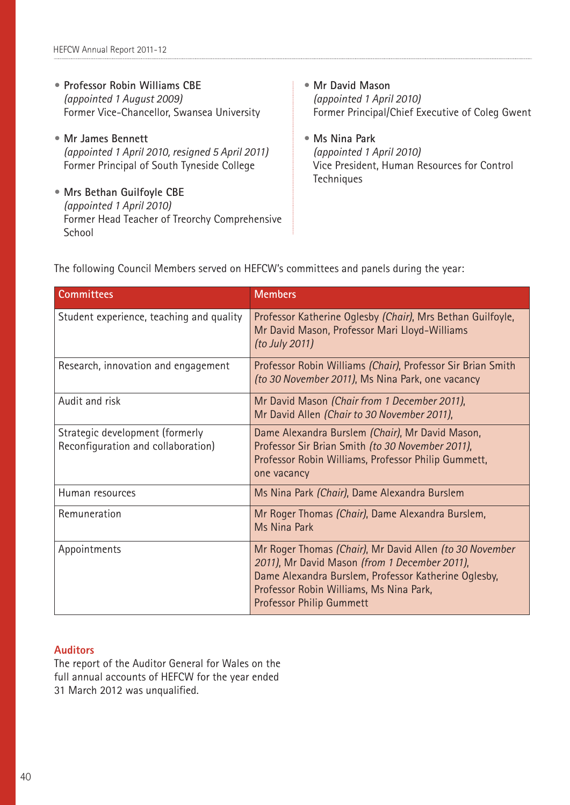- **Professor Robin Williams CBE**  *(appointed 1 August 2009)* Former Vice-Chancellor, Swansea University
- **Mr James Bennett**  *(appointed 1 April 2010, resigned 5 April 2011)* Former Principal of South Tyneside College
- **Mrs Bethan Guilfoyle CBE**  *(appointed 1 April 2010)* Former Head Teacher of Treorchy Comprehensive **School**
- **Mr David Mason**  *(appointed 1 April 2010)* Former Principal/Chief Executive of Coleg Gwent
- **Ms Nina Park**  *(appointed 1 April 2010)* Vice President, Human Resources for Control **Techniques**

The following Council Members served on HEFCW's committees and panels during the year:

| <b>Committees</b>                                                     | <b>Members</b>                                                                                                                                                                                                                                 |
|-----------------------------------------------------------------------|------------------------------------------------------------------------------------------------------------------------------------------------------------------------------------------------------------------------------------------------|
| Student experience, teaching and quality                              | Professor Katherine Oglesby (Chair), Mrs Bethan Guilfoyle,<br>Mr David Mason, Professor Mari Lloyd-Williams<br>(to July 2011)                                                                                                                  |
| Research, innovation and engagement                                   | Professor Robin Williams (Chair), Professor Sir Brian Smith<br>(to 30 November 2011), Ms Nina Park, one vacancy                                                                                                                                |
| Audit and risk                                                        | Mr David Mason (Chair from 1 December 2011),<br>Mr David Allen (Chair to 30 November 2011),                                                                                                                                                    |
| Strategic development (formerly<br>Reconfiguration and collaboration) | Dame Alexandra Burslem (Chair), Mr David Mason,<br>Professor Sir Brian Smith (to 30 November 2011),<br>Professor Robin Williams, Professor Philip Gummett,<br>one vacancy                                                                      |
| Human resources                                                       | Ms Nina Park (Chair), Dame Alexandra Burslem                                                                                                                                                                                                   |
| Remuneration                                                          | Mr Roger Thomas (Chair), Dame Alexandra Burslem,<br>Ms Nina Park                                                                                                                                                                               |
| Appointments                                                          | Mr Roger Thomas (Chair), Mr David Allen (to 30 November<br>2011), Mr David Mason (from 1 December 2011),<br>Dame Alexandra Burslem, Professor Katherine Oglesby,<br>Professor Robin Williams, Ms Nina Park,<br><b>Professor Philip Gummett</b> |

#### **Auditors**

The report of the Auditor General for Wales on the full annual accounts of HEFCW for the year ended 31 March 2012 was unqualified.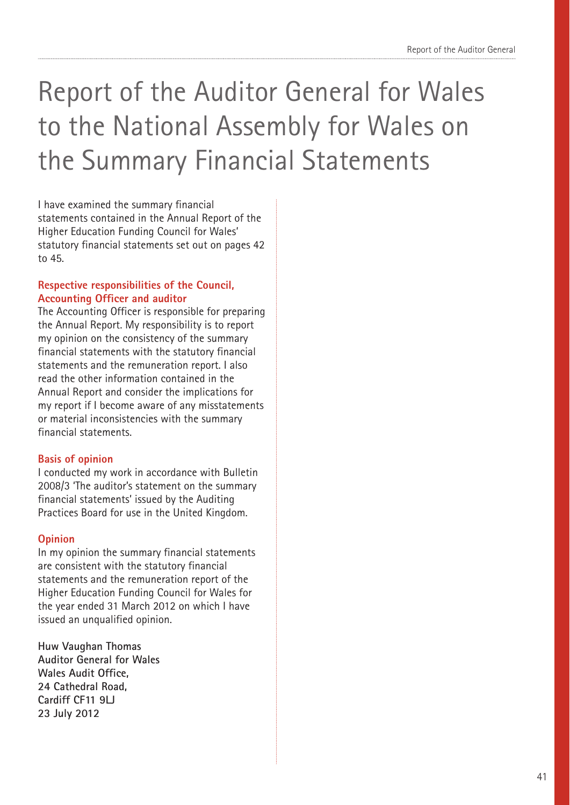## Report of the Auditor General for Wales to the National Assembly for Wales on the Summary Financial Statements

I have examined the summary financial statements contained in the Annual Report of the Higher Education Funding Council for Wales' statutory financial statements set out on pages 42 to 45.

### **Respective responsibilities of the Council, Accounting Officer and auditor**

The Accounting Officer is responsible for preparing the Annual Report. My responsibility is to report my opinion on the consistency of the summary financial statements with the statutory financial statements and the remuneration report. I also read the other information contained in the Annual Report and consider the implications for my report if I become aware of any misstatements or material inconsistencies with the summary financial statements.

### **Basis of opinion**

I conducted my work in accordance with Bulletin 2008/3 'The auditor's statement on the summary financial statements' issued by the Auditing Practices Board for use in the United Kingdom.

### **Opinion**

In my opinion the summary financial statements are consistent with the statutory financial statements and the remuneration report of the Higher Education Funding Council for Wales for the year ended 31 March 2012 on which I have issued an unqualified opinion.

**Huw Vaughan Thomas Auditor General for Wales Wales Audit Office, 24 Cathedral Road, Cardiff CF11 9LJ 23 July 2012**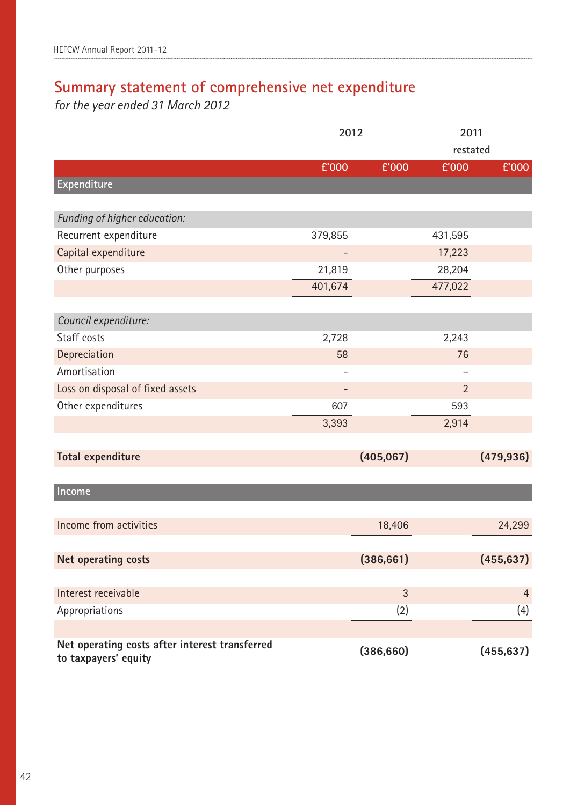### **Summary statement of comprehensive net expenditure**

*for the year ended 31 March 2012*

|                                                | 2012    |            | 2011           |                |
|------------------------------------------------|---------|------------|----------------|----------------|
|                                                |         |            | restated       |                |
|                                                | £'000   | £'000      | £'000          | £'000          |
| Expenditure                                    |         |            |                |                |
|                                                |         |            |                |                |
| Funding of higher education:                   |         |            |                |                |
| Recurrent expenditure                          | 379,855 |            | 431,595        |                |
| Capital expenditure                            |         |            | 17,223         |                |
| Other purposes                                 | 21,819  |            | 28,204         |                |
|                                                | 401,674 |            | 477,022        |                |
|                                                |         |            |                |                |
| Council expenditure:                           |         |            |                |                |
| Staff costs                                    | 2,728   |            | 2,243          |                |
| Depreciation                                   | 58      |            | 76             |                |
| Amortisation                                   |         |            | -              |                |
| Loss on disposal of fixed assets               |         |            | $\overline{2}$ |                |
| Other expenditures                             | 607     |            | 593            |                |
|                                                | 3,393   |            | 2,914          |                |
|                                                |         |            |                |                |
| <b>Total expenditure</b>                       |         | (405, 067) |                | (479, 936)     |
|                                                |         |            |                |                |
| Income                                         |         |            |                |                |
|                                                |         |            |                |                |
| Income from activities                         |         | 18,406     |                | 24,299         |
|                                                |         |            |                |                |
| Net operating costs                            |         | (386, 661) |                | (455, 637)     |
|                                                |         |            |                |                |
| Interest receivable                            |         | 3          |                | $\overline{4}$ |
| Appropriations                                 |         | (2)        |                | (4)            |
|                                                |         |            |                |                |
| Net operating costs after interest transferred |         | (386, 660) |                | (455, 637)     |
| to taxpayers' equity                           |         |            |                |                |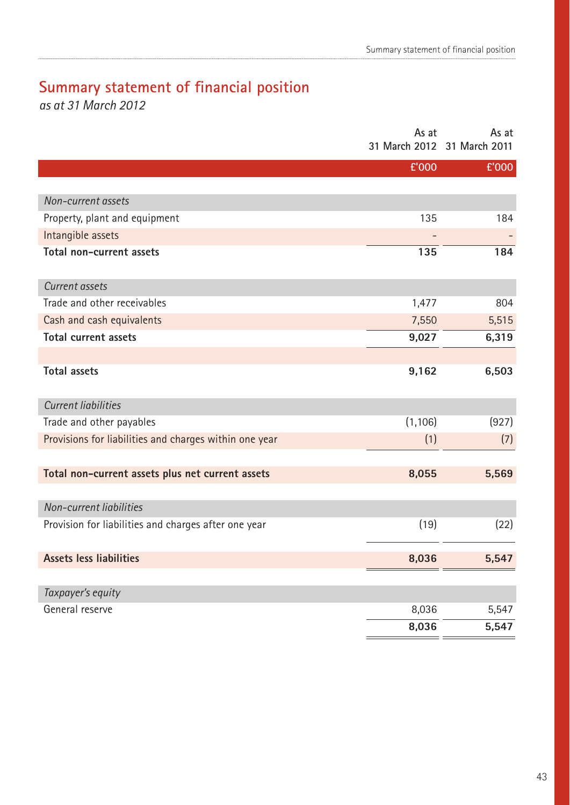### **Summary statement of financial position**

*as at 31 March 2012*

|                                                        | As at<br>31 March 2012 31 March 2011 | As at |
|--------------------------------------------------------|--------------------------------------|-------|
|                                                        | £'000                                | £'000 |
|                                                        |                                      |       |
| Non-current assets                                     |                                      |       |
| Property, plant and equipment                          | 135                                  | 184   |
| Intangible assets                                      |                                      |       |
| Total non-current assets                               | 135                                  | 184   |
| Current assets                                         |                                      |       |
| Trade and other receivables                            | 1,477                                | 804   |
| Cash and cash equivalents                              | 7,550                                | 5,515 |
| <b>Total current assets</b>                            | 9,027                                | 6,319 |
|                                                        |                                      |       |
| <b>Total assets</b>                                    | 9,162                                | 6,503 |
| <b>Current liabilities</b>                             |                                      |       |
| Trade and other payables                               | (1, 106)                             | (927) |
| Provisions for liabilities and charges within one year | (1)                                  | (7)   |
|                                                        |                                      |       |
| Total non-current assets plus net current assets       | 8,055                                | 5,569 |
| Non-current liabilities                                |                                      |       |
| Provision for liabilities and charges after one year   | (19)                                 | (22)  |
| <b>Assets less liabilities</b>                         | 8,036                                | 5,547 |
| Taxpayer's equity                                      |                                      |       |
| General reserve                                        |                                      |       |
|                                                        | 8,036                                | 5,547 |
|                                                        | 8,036                                | 5,547 |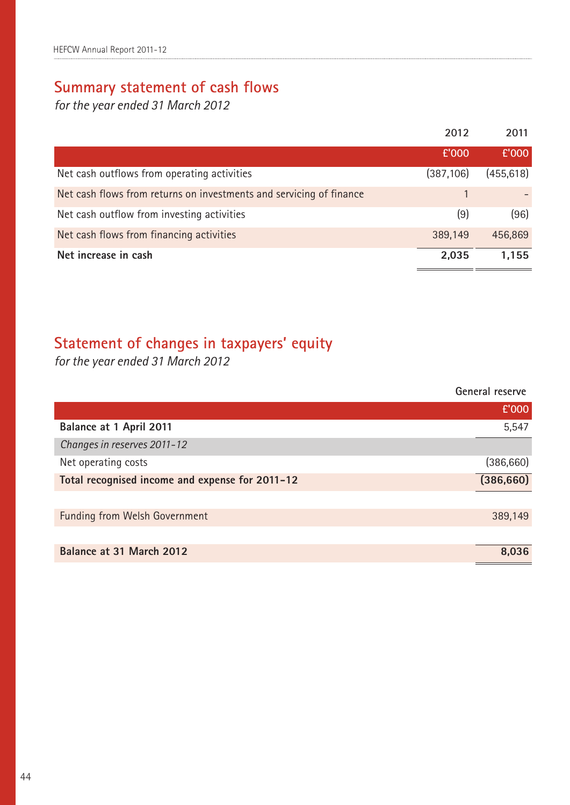### **Summary statement of cash flows**

*for the year ended 31 March 2012*

|                                                                     | 2012       | 2011       |
|---------------------------------------------------------------------|------------|------------|
|                                                                     | £'000      | £'000      |
| Net cash outflows from operating activities                         | (387, 106) | (455, 618) |
| Net cash flows from returns on investments and servicing of finance |            |            |
| Net cash outflow from investing activities                          | (9)        | (96)       |
| Net cash flows from financing activities                            | 389,149    | 456,869    |
| Net increase in cash                                                | 2,035      | 1,155      |

### **Statement of changes in taxpayers' equity**

*for the year ended 31 March 2012*

|                                                 | General reserve |
|-------------------------------------------------|-----------------|
|                                                 | £'000           |
| Balance at 1 April 2011                         | 5,547           |
| Changes in reserves 2011-12                     |                 |
| Net operating costs                             | (386, 660)      |
| Total recognised income and expense for 2011-12 | (386, 660)      |
|                                                 |                 |
| <b>Funding from Welsh Government</b>            | 389,149         |
|                                                 |                 |
| Balance at 31 March 2012                        | 8,036           |